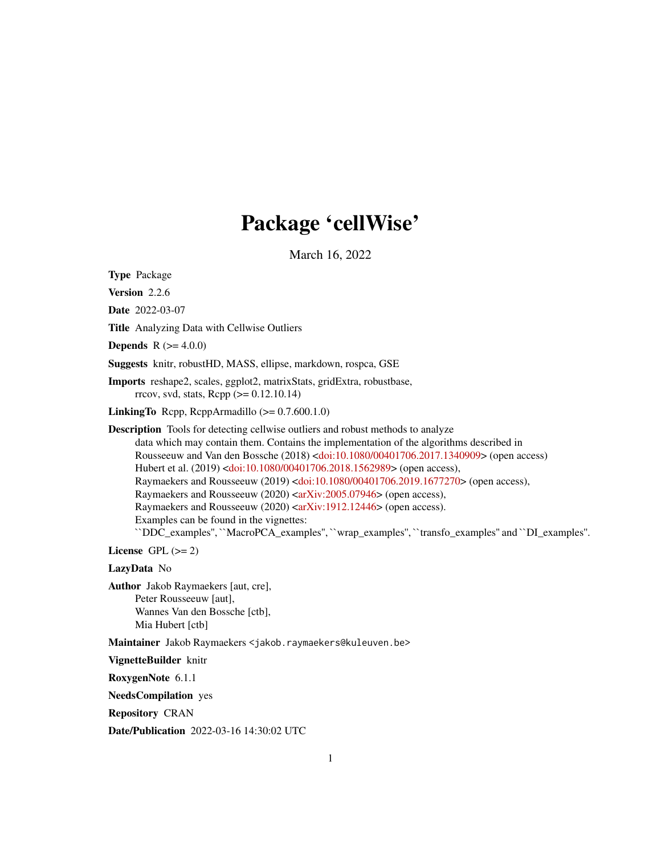# Package 'cellWise'

March 16, 2022

<span id="page-0-0"></span>Type Package

Version 2.2.6

Date 2022-03-07

Title Analyzing Data with Cellwise Outliers

**Depends** R  $(>= 4.0.0)$ 

Suggests knitr, robustHD, MASS, ellipse, markdown, rospca, GSE

Imports reshape2, scales, ggplot2, matrixStats, gridExtra, robustbase, rrcov, svd, stats, Rcpp (>= 0.12.10.14)

**LinkingTo** Rcpp, RcppArmadillo  $(>= 0.7.600.1.0)$ 

Description Tools for detecting cellwise outliers and robust methods to analyze data which may contain them. Contains the implementation of the algorithms described in Rousseeuw and Van den Bossche (2018) [<doi:10.1080/00401706.2017.1340909>](https://doi.org/10.1080/00401706.2017.1340909) (open access) Hubert et al. (2019) [<doi:10.1080/00401706.2018.1562989>](https://doi.org/10.1080/00401706.2018.1562989) (open access), Raymaekers and Rousseeuw (2019) [<doi:10.1080/00401706.2019.1677270>](https://doi.org/10.1080/00401706.2019.1677270) (open access), Raymaekers and Rousseeuw (2020) [<arXiv:2005.07946>](https://arxiv.org/abs/2005.07946) (open access), Raymaekers and Rousseeuw (2020) [<arXiv:1912.12446>](https://arxiv.org/abs/1912.12446) (open access). Examples can be found in the vignettes: ``DDC\_examples'', ``MacroPCA\_examples'', ``wrap\_examples'', ``transfo\_examples'' and ``DI\_examples''.

License GPL  $(>= 2)$ 

LazyData No

Author Jakob Raymaekers [aut, cre], Peter Rousseeuw [aut], Wannes Van den Bossche [ctb], Mia Hubert [ctb]

Maintainer Jakob Raymaekers <jakob.raymaekers@kuleuven.be>

VignetteBuilder knitr

RoxygenNote 6.1.1

NeedsCompilation yes

Repository CRAN

Date/Publication 2022-03-16 14:30:02 UTC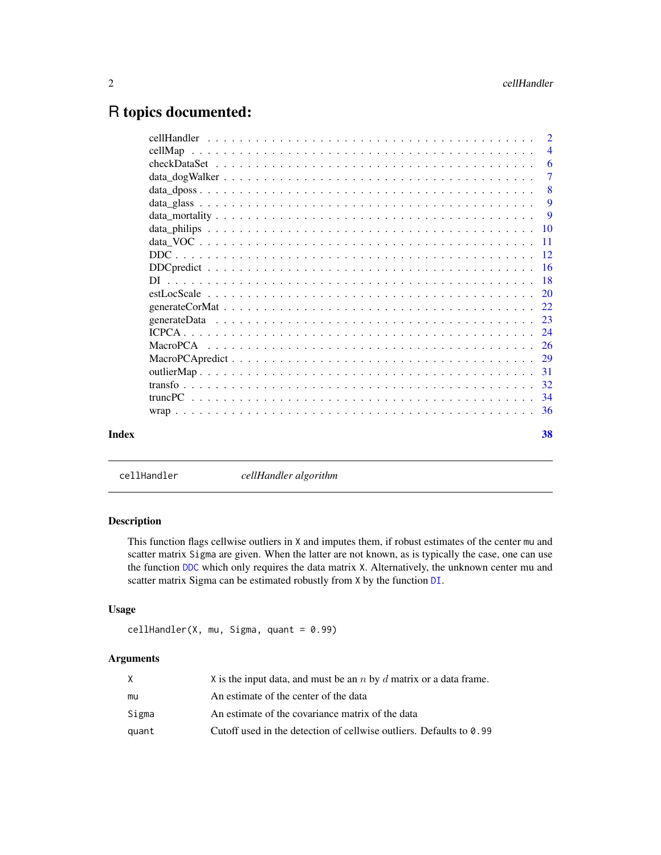# <span id="page-1-0"></span>R topics documented:

| cellMan |                           |
|---------|---------------------------|
|         | $\overline{4}$            |
|         | -6                        |
|         | $\overline{7}$            |
|         | $\overline{\phantom{0}}8$ |
|         | -9                        |
|         | 9                         |
|         |                           |
|         |                           |
|         |                           |
|         |                           |
|         |                           |
|         |                           |
|         |                           |
|         |                           |
|         |                           |
|         |                           |
|         | -29                       |
|         |                           |
|         |                           |
|         |                           |
|         |                           |
|         | 38                        |

<span id="page-1-1"></span>cellHandler *cellHandler algorithm*

# Description

This function flags cellwise outliers in X and imputes them, if robust estimates of the center mu and scatter matrix Sigma are given. When the latter are not known, as is typically the case, one can use the function [DDC](#page-11-1) which only requires the data matrix X. Alternatively, the unknown center mu and scatter matrix Sigma can be estimated robustly from X by the function [DI](#page-17-1).

#### Usage

```
cellHandler(X, mu, Sigma, quant = 0.99)
```

|       | X is the input data, and must be an $n$ by $d$ matrix or a data frame.      |
|-------|-----------------------------------------------------------------------------|
| mu    | An estimate of the center of the data                                       |
| Sigma | An estimate of the covariance matrix of the data                            |
| quant | Cutoff used in the detection of cellwise outliers. Defaults to $\theta$ .99 |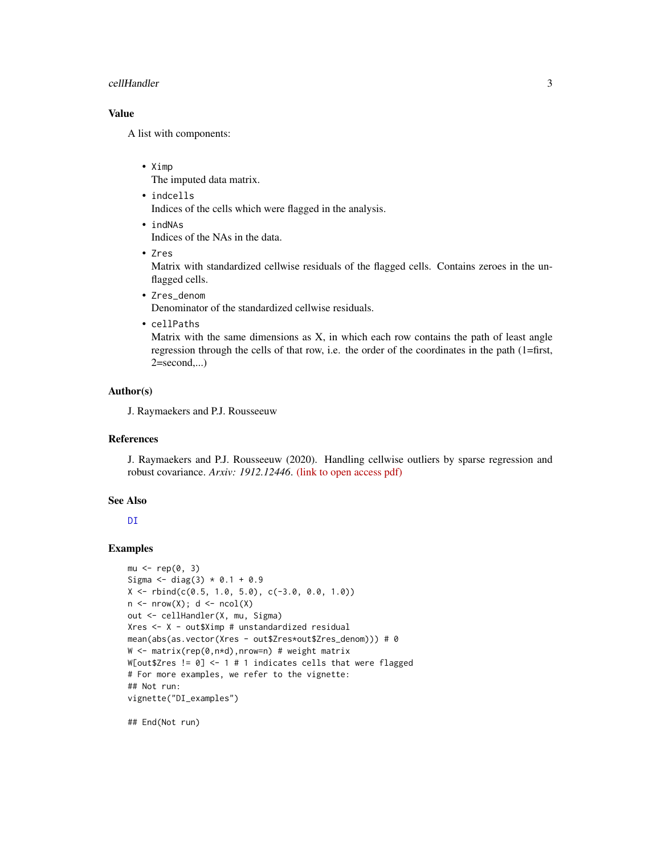#### <span id="page-2-0"></span>cellHandler 3

# Value

A list with components:

• Ximp

The imputed data matrix.

- indcells
	- Indices of the cells which were flagged in the analysis.
- indNAs Indices of the NAs in the data.
- Zres

Matrix with standardized cellwise residuals of the flagged cells. Contains zeroes in the unflagged cells.

- Zres\_denom Denominator of the standardized cellwise residuals.
- cellPaths

Matrix with the same dimensions as  $X$ , in which each row contains the path of least angle regression through the cells of that row, i.e. the order of the coordinates in the path (1=first,  $2 = second,...)$ 

# Author(s)

J. Raymaekers and P.J. Rousseeuw

# References

J. Raymaekers and P.J. Rousseeuw (2020). Handling cellwise outliers by sparse regression and robust covariance. *Arxiv: 1912.12446*. [\(link to open access pdf\)](https://arxiv.org/abs/1912.12446)

#### See Also

**DT** 

#### Examples

```
mu < - rep(0, 3)Sigma \le diag(3) * 0.1 + 0.9X \leftarrow \text{rbind}(c(0.5, 1.0, 5.0), c(-3.0, 0.0, 1.0))n \le - nrow(X); d \le - ncol(X)out <- cellHandler(X, mu, Sigma)
Xres <- X - out$Ximp # unstandardized residual
mean(abs(as.vector(Xres - out$Zres*out$Zres_denom))) # 0
W <- matrix(rep(0,n*d),nrow=n) # weight matrix
W[out$Zres != 0] <- 1 # 1 indicates cells that were flagged
# For more examples, we refer to the vignette:
## Not run:
vignette("DI_examples")
```
## End(Not run)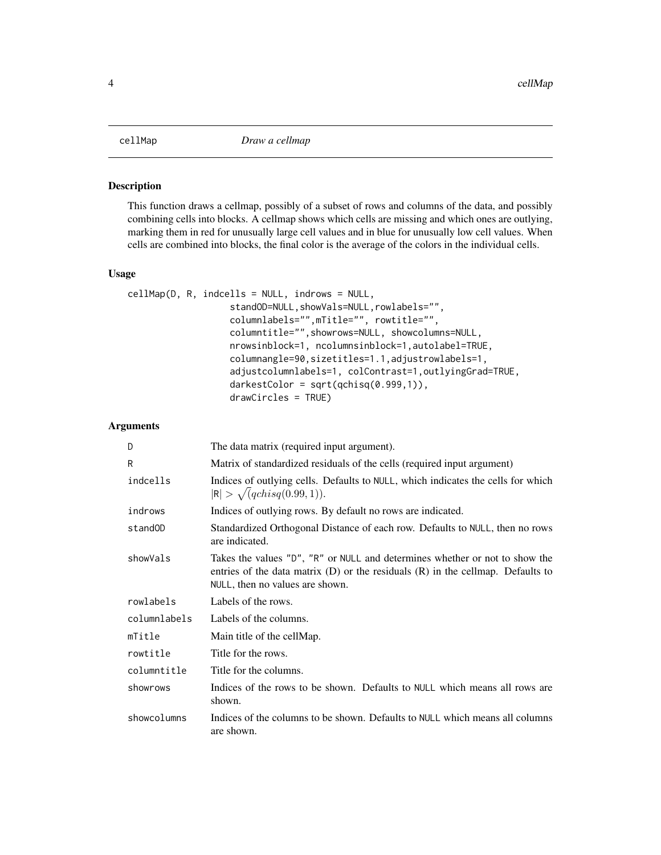<span id="page-3-1"></span><span id="page-3-0"></span>This function draws a cellmap, possibly of a subset of rows and columns of the data, and possibly combining cells into blocks. A cellmap shows which cells are missing and which ones are outlying, marking them in red for unusually large cell values and in blue for unusually low cell values. When cells are combined into blocks, the final color is the average of the colors in the individual cells.

#### Usage

```
cellMap(D, R, indcells = NULL, indrows = NULL,
                   standOD=NULL,showVals=NULL,rowlabels="",
                   columnlabels="", mTitle="", rowtitle="",
                   columntitle="",showrows=NULL, showcolumns=NULL,
                   nrowsinblock=1, ncolumnsinblock=1,autolabel=TRUE,
                   columnangle=90,sizetitles=1.1,adjustrowlabels=1,
                   adjustcolumnlabels=1, colContrast=1,outlyingGrad=TRUE,
                   darkestColor = sqrt(qchisq(0.999,1)),
                   drawCircles = TRUE)
```

| D            | The data matrix (required input argument).                                                                                                                                                            |
|--------------|-------------------------------------------------------------------------------------------------------------------------------------------------------------------------------------------------------|
| R            | Matrix of standardized residuals of the cells (required input argument)                                                                                                                               |
| indcells     | Indices of outlying cells. Defaults to NULL, which indicates the cells for which<br>$ R  > \sqrt{qchisq(0.99, 1)}$ .                                                                                  |
| indrows      | Indices of outlying rows. By default no rows are indicated.                                                                                                                                           |
| standOD      | Standardized Orthogonal Distance of each row. Defaults to NULL, then no rows<br>are indicated.                                                                                                        |
| showVals     | Takes the values "D", "R" or NULL and determines whether or not to show the<br>entries of the data matrix $(D)$ or the residuals $(R)$ in the cellmap. Defaults to<br>NULL, then no values are shown. |
| rowlabels    | Labels of the rows.                                                                                                                                                                                   |
| columnlabels | Labels of the columns.                                                                                                                                                                                |
| mTitle       | Main title of the cellMap.                                                                                                                                                                            |
| rowtitle     | Title for the rows.                                                                                                                                                                                   |
| columntitle  | Title for the columns.                                                                                                                                                                                |
| showrows     | Indices of the rows to be shown. Defaults to NULL which means all rows are<br>shown.                                                                                                                  |
| showcolumns  | Indices of the columns to be shown. Defaults to NULL which means all columns<br>are shown.                                                                                                            |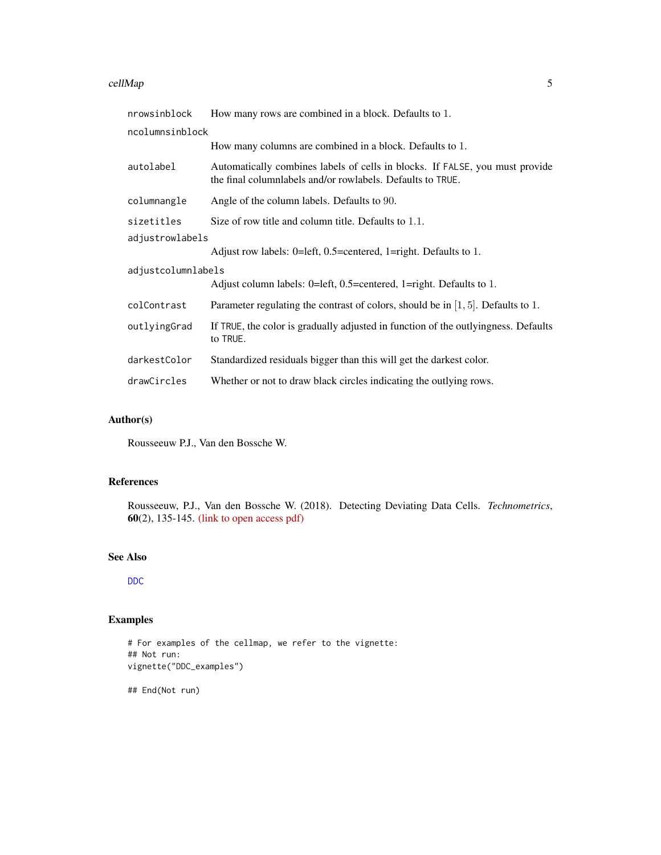#### <span id="page-4-0"></span>cellMap 5

| nrowsinblock       | How many rows are combined in a block. Defaults to 1.                                                                                      |
|--------------------|--------------------------------------------------------------------------------------------------------------------------------------------|
| ncolumnsinblock    |                                                                                                                                            |
|                    | How many columns are combined in a block. Defaults to 1.                                                                                   |
| autolabel          | Automatically combines labels of cells in blocks. If FALSE, you must provide<br>the final columnlabels and/or rowlabels. Defaults to TRUE. |
| columnangle        | Angle of the column labels. Defaults to 90.                                                                                                |
| sizetitles         | Size of row title and column title. Defaults to 1.1.                                                                                       |
| adjustrowlabels    |                                                                                                                                            |
|                    | Adjust row labels: 0=left, 0.5=centered, 1=right. Defaults to 1.                                                                           |
| adjustcolumnlabels |                                                                                                                                            |
|                    | Adjust column labels: 0=left, 0.5=centered, 1=right. Defaults to 1.                                                                        |
| colContrast        | Parameter regulating the contrast of colors, should be in $[1, 5]$ . Defaults to 1.                                                        |
| outlyingGrad       | If TRUE, the color is gradually adjusted in function of the outlyingness. Defaults<br>to TRUE.                                             |
| darkestColor       | Standardized residuals bigger than this will get the darkest color.                                                                        |
| drawCircles        | Whether or not to draw black circles indicating the outlying rows.                                                                         |

# Author(s)

Rousseeuw P.J., Van den Bossche W.

# References

Rousseeuw, P.J., Van den Bossche W. (2018). Detecting Deviating Data Cells. *Technometrics*, 60(2), 135-145. [\(link to open access pdf\)](https://www.tandfonline.com/doi/full/10.1080/00401706.2017.1340909)

#### See Also

[DDC](#page-11-1)

# Examples

```
# For examples of the cellmap, we refer to the vignette:
## Not run:
vignette("DDC_examples")
```
## End(Not run)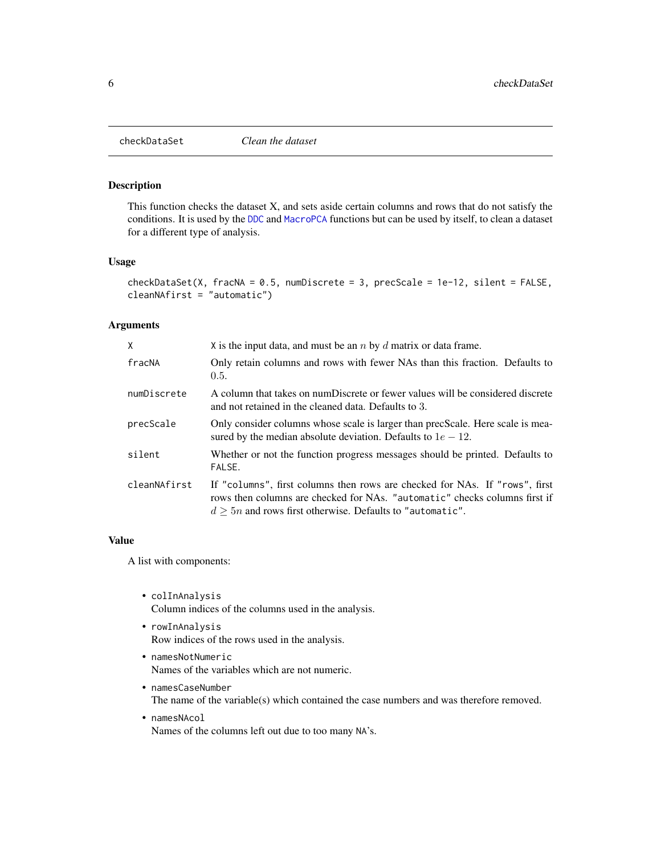<span id="page-5-1"></span><span id="page-5-0"></span>

This function checks the dataset X, and sets aside certain columns and rows that do not satisfy the conditions. It is used by the [DDC](#page-11-1) and [MacroPCA](#page-25-1) functions but can be used by itself, to clean a dataset for a different type of analysis.

# Usage

```
checkDataSet(X, fracNA = 0.5, numDiscrete = 3, precScale = 1e-12, silent = FALSE,
cleanNAfirst = "automatic")
```
#### Arguments

| X            | X is the input data, and must be an $n$ by $d$ matrix or data frame.                                                                                                                                                        |
|--------------|-----------------------------------------------------------------------------------------------------------------------------------------------------------------------------------------------------------------------------|
| fracNA       | Only retain columns and rows with fewer NAs than this fraction. Defaults to<br>0.5.                                                                                                                                         |
| numDiscrete  | A column that takes on numDiscrete or fewer values will be considered discrete<br>and not retained in the cleaned data. Defaults to 3.                                                                                      |
| precScale    | Only consider columns whose scale is larger than precScale. Here scale is mea-<br>sured by the median absolute deviation. Defaults to $1e - 12$ .                                                                           |
| silent       | Whether or not the function progress messages should be printed. Defaults to<br>FALSE.                                                                                                                                      |
| cleanNAfirst | If "columns", first columns then rows are checked for NAs. If "rows", first<br>rows then columns are checked for NAs. "automatic" checks columns first if<br>$d \geq 5n$ and rows first otherwise. Defaults to "automatic". |

#### Value

A list with components:

- colInAnalysis Column indices of the columns used in the analysis.
- rowInAnalysis Row indices of the rows used in the analysis.
- namesNotNumeric Names of the variables which are not numeric.
- namesCaseNumber The name of the variable(s) which contained the case numbers and was therefore removed.
- namesNAcol Names of the columns left out due to too many NA's.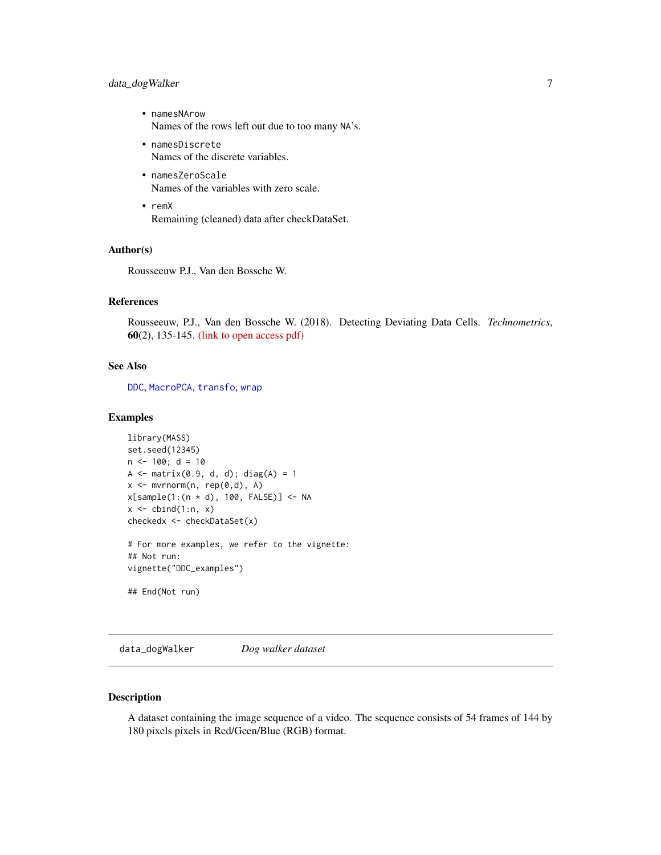# <span id="page-6-0"></span>data\_dogWalker 7

- namesNArow Names of the rows left out due to too many NA's.
- namesDiscrete Names of the discrete variables.
- namesZeroScale Names of the variables with zero scale.
- remX Remaining (cleaned) data after checkDataSet.

#### Author(s)

Rousseeuw P.J., Van den Bossche W.

# References

Rousseeuw, P.J., Van den Bossche W. (2018). Detecting Deviating Data Cells. *Technometrics*, 60(2), 135-145. [\(link to open access pdf\)](https://www.tandfonline.com/doi/full/10.1080/00401706.2017.1340909)

#### See Also

[DDC](#page-11-1), [MacroPCA](#page-25-1), [transfo](#page-31-1), [wrap](#page-35-1)

#### Examples

```
library(MASS)
set.seed(12345)
n < -100; d = 10
A \leq - matrix(0.9, d, d); diag(A) = 1
x <- mvrnorm(n, rep(0,d), A)
x[sample(1:(n * d), 100, FALSE)] <- NA
x \leftarrow \text{cbind}(1:n, x)checkedx <- checkDataSet(x)
# For more examples, we refer to the vignette:
## Not run:
vignette("DDC_examples")
## End(Not run)
```
data\_dogWalker *Dog walker dataset*

# Description

A dataset containing the image sequence of a video. The sequence consists of 54 frames of 144 by 180 pixels pixels in Red/Geen/Blue (RGB) format.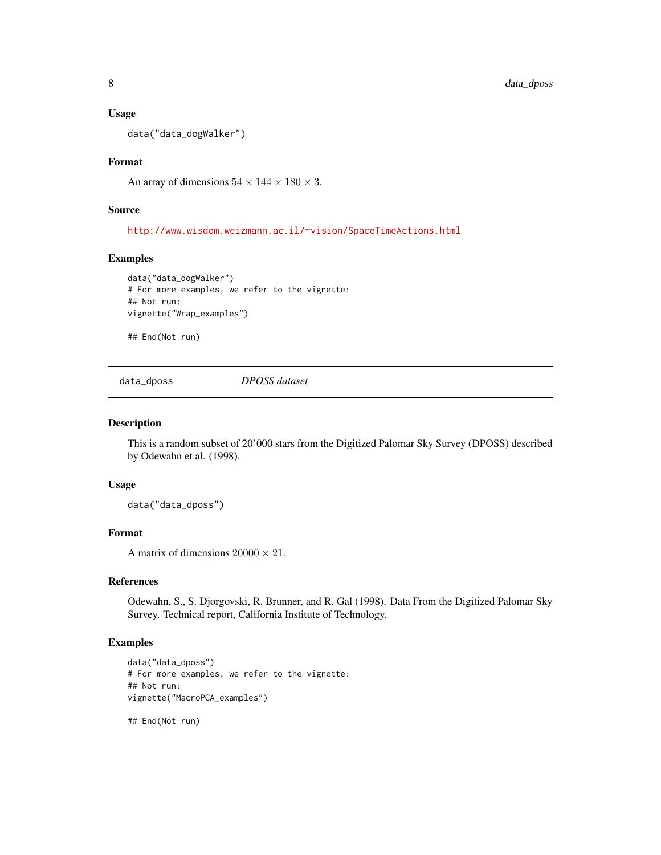#### <span id="page-7-0"></span>Usage

data("data\_dogWalker")

# Format

An array of dimensions  $54 \times 144 \times 180 \times 3$ .

#### Source

<http://www.wisdom.weizmann.ac.il/~vision/SpaceTimeActions.html>

#### Examples

```
data("data_dogWalker")
# For more examples, we refer to the vignette:
## Not run:
vignette("Wrap_examples")
```
## End(Not run)

data\_dposs *DPOSS dataset*

#### Description

This is a random subset of 20'000 stars from the Digitized Palomar Sky Survey (DPOSS) described by Odewahn et al. (1998).

#### Usage

data("data\_dposs")

#### Format

A matrix of dimensions  $20000 \times 21$ .

# References

Odewahn, S., S. Djorgovski, R. Brunner, and R. Gal (1998). Data From the Digitized Palomar Sky Survey. Technical report, California Institute of Technology.

# Examples

```
data("data_dposs")
# For more examples, we refer to the vignette:
## Not run:
vignette("MacroPCA_examples")
```
## End(Not run)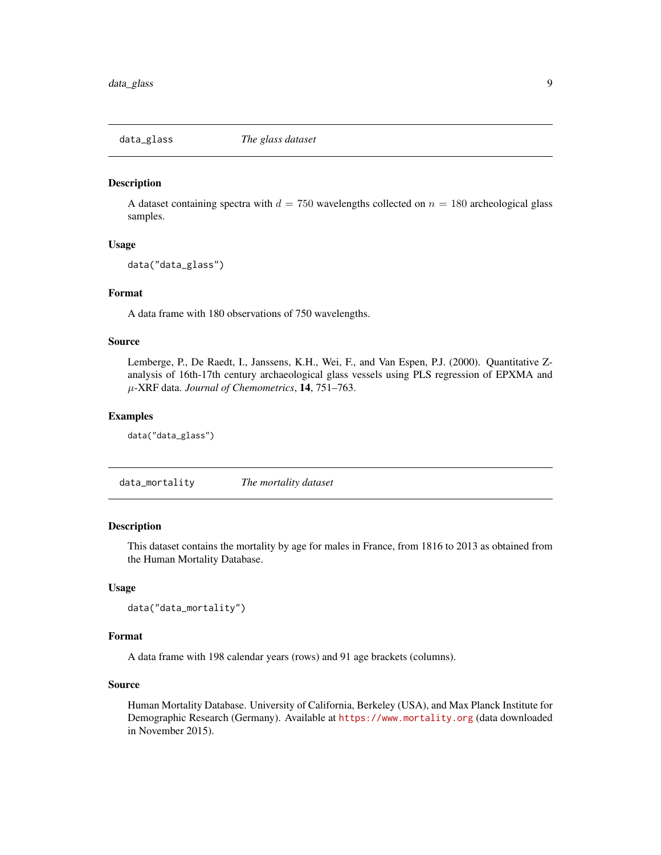<span id="page-8-0"></span>

A dataset containing spectra with  $d = 750$  wavelengths collected on  $n = 180$  archeological glass samples.

#### Usage

data("data\_glass")

# Format

A data frame with 180 observations of 750 wavelengths.

#### Source

Lemberge, P., De Raedt, I., Janssens, K.H., Wei, F., and Van Espen, P.J. (2000). Quantitative Zanalysis of 16th-17th century archaeological glass vessels using PLS regression of EPXMA and µ-XRF data. *Journal of Chemometrics*, 14, 751–763.

#### Examples

data("data\_glass")

data\_mortality *The mortality dataset*

# Description

This dataset contains the mortality by age for males in France, from 1816 to 2013 as obtained from the Human Mortality Database.

#### Usage

```
data("data_mortality")
```
#### Format

A data frame with 198 calendar years (rows) and 91 age brackets (columns).

# Source

Human Mortality Database. University of California, Berkeley (USA), and Max Planck Institute for Demographic Research (Germany). Available at <https://www.mortality.org> (data downloaded in November 2015).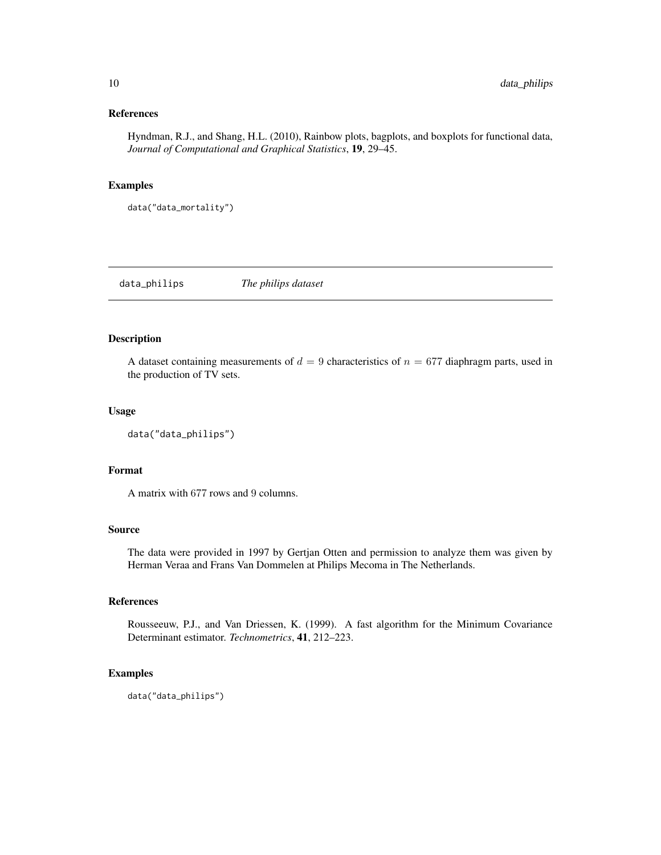#### <span id="page-9-0"></span>References

Hyndman, R.J., and Shang, H.L. (2010), Rainbow plots, bagplots, and boxplots for functional data, *Journal of Computational and Graphical Statistics*, 19, 29–45.

#### Examples

data("data\_mortality")

data\_philips *The philips dataset*

# Description

A dataset containing measurements of  $d = 9$  characteristics of  $n = 677$  diaphragm parts, used in the production of TV sets.

#### Usage

data("data\_philips")

#### Format

A matrix with 677 rows and 9 columns.

# Source

The data were provided in 1997 by Gertjan Otten and permission to analyze them was given by Herman Veraa and Frans Van Dommelen at Philips Mecoma in The Netherlands.

#### References

Rousseeuw, P.J., and Van Driessen, K. (1999). A fast algorithm for the Minimum Covariance Determinant estimator. *Technometrics*, 41, 212–223.

# Examples

data("data\_philips")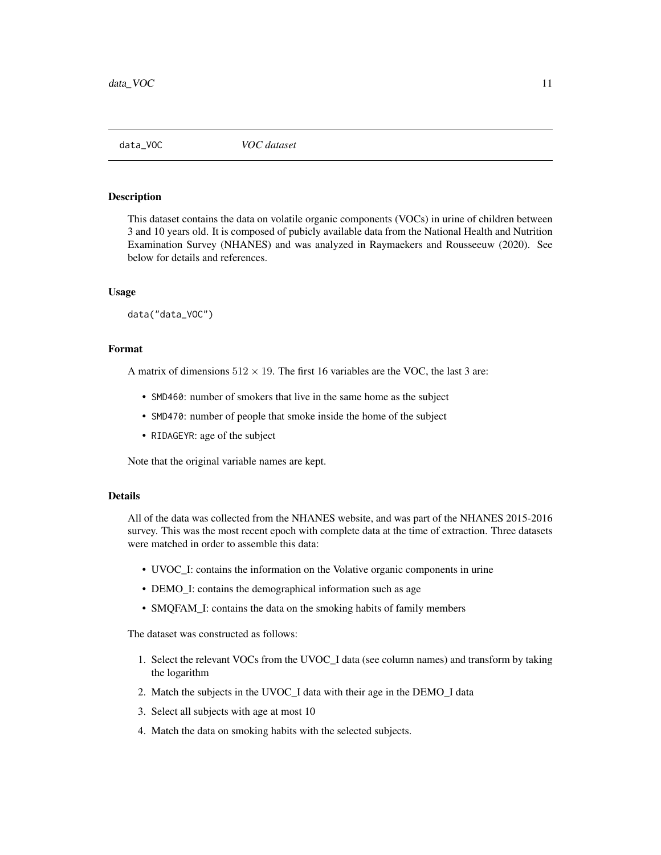<span id="page-10-0"></span>

This dataset contains the data on volatile organic components (VOCs) in urine of children between 3 and 10 years old. It is composed of pubicly available data from the National Health and Nutrition Examination Survey (NHANES) and was analyzed in Raymaekers and Rousseeuw (2020). See below for details and references.

#### Usage

data("data\_VOC")

# Format

A matrix of dimensions  $512 \times 19$ . The first 16 variables are the VOC, the last 3 are:

- SMD460: number of smokers that live in the same home as the subject
- SMD470: number of people that smoke inside the home of the subject
- RIDAGEYR: age of the subject

Note that the original variable names are kept.

#### Details

All of the data was collected from the NHANES website, and was part of the NHANES 2015-2016 survey. This was the most recent epoch with complete data at the time of extraction. Three datasets were matched in order to assemble this data:

- UVOC\_I: contains the information on the Volative organic components in urine
- DEMO\_I: contains the demographical information such as age
- SMQFAM\_I: contains the data on the smoking habits of family members

The dataset was constructed as follows:

- 1. Select the relevant VOCs from the UVOC\_I data (see column names) and transform by taking the logarithm
- 2. Match the subjects in the UVOC\_I data with their age in the DEMO\_I data
- 3. Select all subjects with age at most 10
- 4. Match the data on smoking habits with the selected subjects.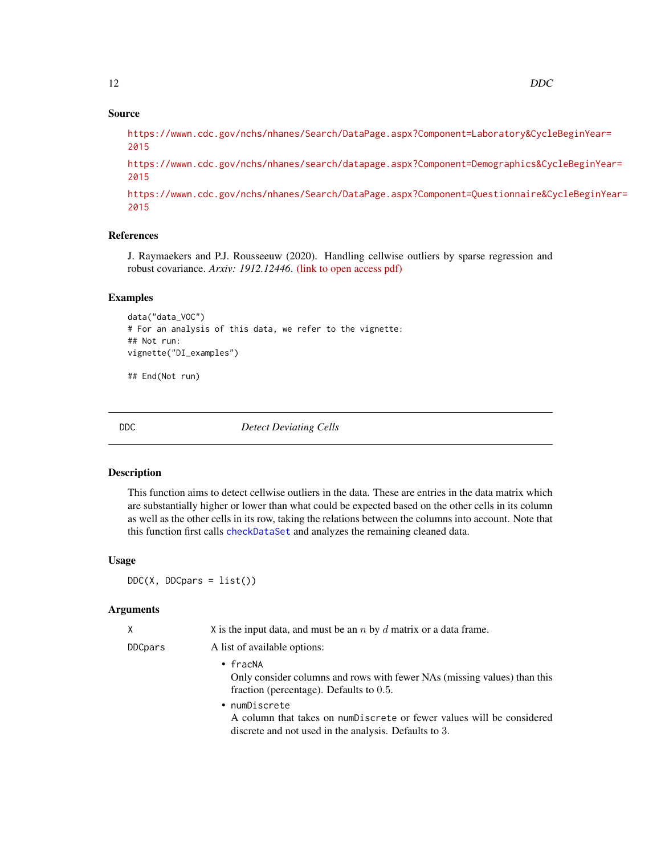# Source

[https://wwwn.cdc.gov/nchs/nhanes/Search/DataPage.aspx?Component=Laboratory&Cycle](https://wwwn.cdc.gov/nchs/nhanes/Search/DataPage.aspx?Component=Laboratory&CycleBeginYear=2015)BeginYear= [2015](https://wwwn.cdc.gov/nchs/nhanes/Search/DataPage.aspx?Component=Laboratory&CycleBeginYear=2015)

[https://wwwn.cdc.gov/nchs/nhanes/search/datapage.aspx?Component=Demographics&Cyc](https://wwwn.cdc.gov/nchs/nhanes/search/datapage.aspx?Component=Demographics&CycleBeginYear=2015)leBeginYear= [2015](https://wwwn.cdc.gov/nchs/nhanes/search/datapage.aspx?Component=Demographics&CycleBeginYear=2015)

[https://wwwn.cdc.gov/nchs/nhanes/Search/DataPage.aspx?Component=Questionnaire&Cy](https://wwwn.cdc.gov/nchs/nhanes/Search/DataPage.aspx?Component=Questionnaire&CycleBeginYear=2015)cleBeginYear= [2015](https://wwwn.cdc.gov/nchs/nhanes/Search/DataPage.aspx?Component=Questionnaire&CycleBeginYear=2015)

# References

J. Raymaekers and P.J. Rousseeuw (2020). Handling cellwise outliers by sparse regression and robust covariance. *Arxiv: 1912.12446*. [\(link to open access pdf\)](https://arxiv.org/abs/1912.12446)

#### Examples

```
data("data_VOC")
# For an analysis of this data, we refer to the vignette:
## Not run:
vignette("DI_examples")
```
## End(Not run)

<span id="page-11-1"></span>

DDC *Detect Deviating Cells*

#### Description

This function aims to detect cellwise outliers in the data. These are entries in the data matrix which are substantially higher or lower than what could be expected based on the other cells in its column as well as the other cells in its row, taking the relations between the columns into account. Note that this function first calls [checkDataSet](#page-5-1) and analyzes the remaining cleaned data.

#### Usage

 $DDC(X, DDCpars = list())$ 

| Χ       | X is the input data, and must be an $n$ by $d$ matrix or a data frame.                                                                          |
|---------|-------------------------------------------------------------------------------------------------------------------------------------------------|
| DDCpars | A list of available options:                                                                                                                    |
|         | $\cdot$ fracNA<br>Only consider columns and rows with fewer NAs (missing values) than this<br>fraction (percentage). Defaults to $0.5$ .        |
|         | • numDiscrete<br>A column that takes on numDiscrete or fewer values will be considered<br>discrete and not used in the analysis. Defaults to 3. |

<span id="page-11-0"></span>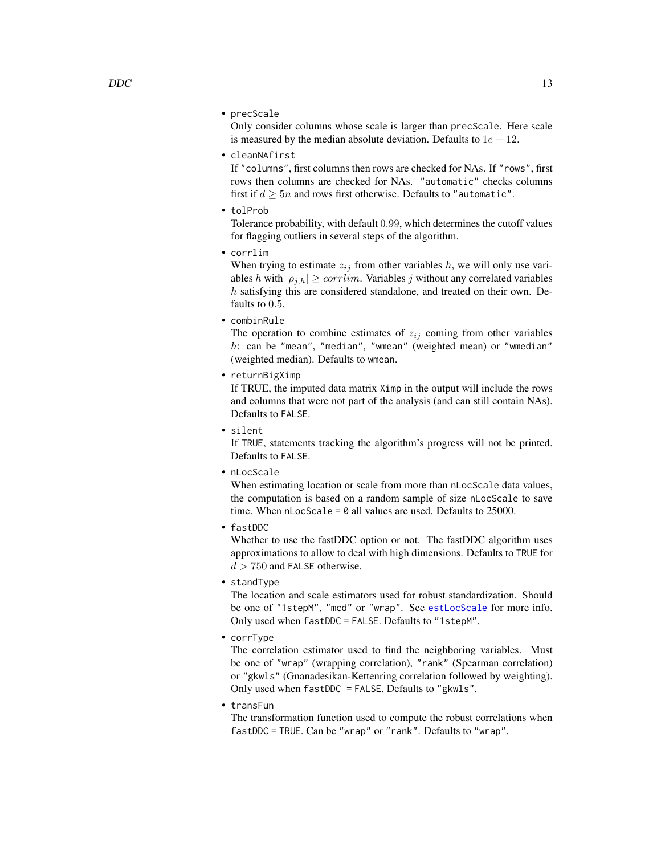<span id="page-12-0"></span>• precScale

Only consider columns whose scale is larger than precScale. Here scale is measured by the median absolute deviation. Defaults to  $1e - 12$ .

• cleanNAfirst

If "columns", first columns then rows are checked for NAs. If "rows", first rows then columns are checked for NAs. "automatic" checks columns first if  $d > 5n$  and rows first otherwise. Defaults to "automatic".

• tolProb

Tolerance probability, with default 0.99, which determines the cutoff values for flagging outliers in several steps of the algorithm.

• corrlim

When trying to estimate  $z_{ij}$  from other variables h, we will only use variables h with  $|\rho_{i,h}| \geq \text{corrlim}$ . Variables j without any correlated variables h satisfying this are considered standalone, and treated on their own. Defaults to 0.5.

• combinRule

The operation to combine estimates of  $z_{ij}$  coming from other variables  $h$ : can be "mean", "median", "wmean" (weighted mean) or "wmedian" (weighted median). Defaults to wmean.

• returnBigXimp

If TRUE, the imputed data matrix Ximp in the output will include the rows and columns that were not part of the analysis (and can still contain NAs). Defaults to FALSE.

• silent

If TRUE, statements tracking the algorithm's progress will not be printed. Defaults to FALSE.

• nLocScale

When estimating location or scale from more than nLocScale data values, the computation is based on a random sample of size nLocScale to save time. When  $n$ LocScale = 0 all values are used. Defaults to 25000.

• fastDDC

Whether to use the fastDDC option or not. The fastDDC algorithm uses approximations to allow to deal with high dimensions. Defaults to TRUE for  $d > 750$  and FALSE otherwise.

• standType

The location and scale estimators used for robust standardization. Should be one of "1stepM", "mcd" or "wrap". See [estLocScale](#page-19-1) for more info. Only used when fastDDC = FALSE. Defaults to "1stepM".

• corrType

The correlation estimator used to find the neighboring variables. Must be one of "wrap" (wrapping correlation), "rank" (Spearman correlation) or "gkwls" (Gnanadesikan-Kettenring correlation followed by weighting). Only used when fastDDC = FALSE. Defaults to "gkwls".

• transFun

The transformation function used to compute the robust correlations when fastDDC = TRUE. Can be "wrap" or "rank". Defaults to "wrap".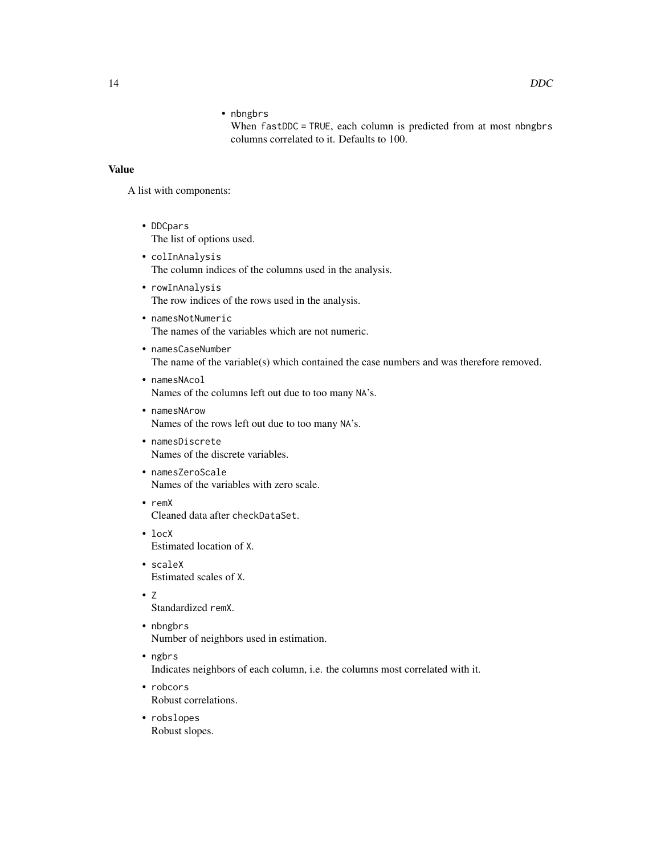When fastDDC = TRUE, each column is predicted from at most nbngbrs columns correlated to it. Defaults to 100.

# Value

A list with components:

- DDCpars The list of options used.
- colInAnalysis The column indices of the columns used in the analysis.
- rowInAnalysis The row indices of the rows used in the analysis.
- namesNotNumeric The names of the variables which are not numeric.
- namesCaseNumber The name of the variable(s) which contained the case numbers and was therefore removed.
- namesNAcol Names of the columns left out due to too many NA's.
- namesNArow Names of the rows left out due to too many NA's.
- namesDiscrete Names of the discrete variables.
- namesZeroScale Names of the variables with zero scale.
- remX Cleaned data after checkDataSet.
- locX Estimated location of X.
- scaleX Estimated scales of X.
- $\bullet$  Z

Standardized remX.

- nbngbrs Number of neighbors used in estimation.
- ngbrs Indicates neighbors of each column, i.e. the columns most correlated with it.
- robcors Robust correlations.
- robslopes Robust slopes.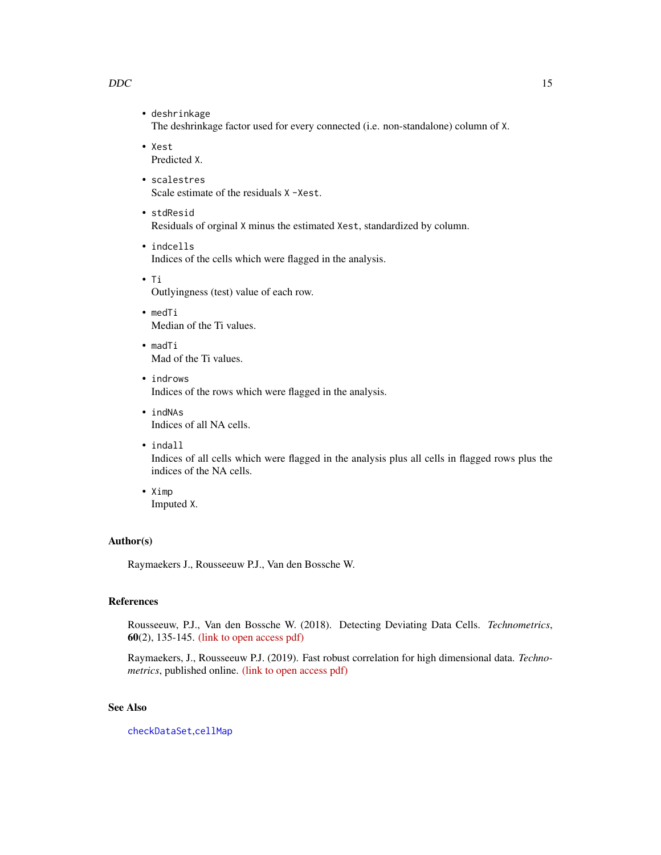#### <span id="page-14-0"></span> $DDC$  15

- deshrinkage The deshrinkage factor used for every connected (i.e. non-standalone) column of X.
- Xest Predicted X.
- scalestres Scale estimate of the residuals X -Xest.
- stdResid Residuals of orginal X minus the estimated Xest, standardized by column.
- indcells Indices of the cells which were flagged in the analysis.
- Ti Outlyingness (test) value of each row.
- medTi Median of the Ti values.
- madTi Mad of the Ti values.
- indrows Indices of the rows which were flagged in the analysis.
- indNAs Indices of all NA cells.
- indall

Indices of all cells which were flagged in the analysis plus all cells in flagged rows plus the indices of the NA cells.

• Ximp Imputed X.

#### Author(s)

Raymaekers J., Rousseeuw P.J., Van den Bossche W.

# References

Rousseeuw, P.J., Van den Bossche W. (2018). Detecting Deviating Data Cells. *Technometrics*, 60(2), 135-145. [\(link to open access pdf\)](https://www.tandfonline.com/doi/full/10.1080/00401706.2017.1340909)

Raymaekers, J., Rousseeuw P.J. (2019). Fast robust correlation for high dimensional data. *Technometrics*, published online. [\(link to open access pdf\)](https://www.tandfonline.com/doi/full/10.1080/00401706.2019.1677270)

# See Also

[checkDataSet](#page-5-1),[cellMap](#page-3-1)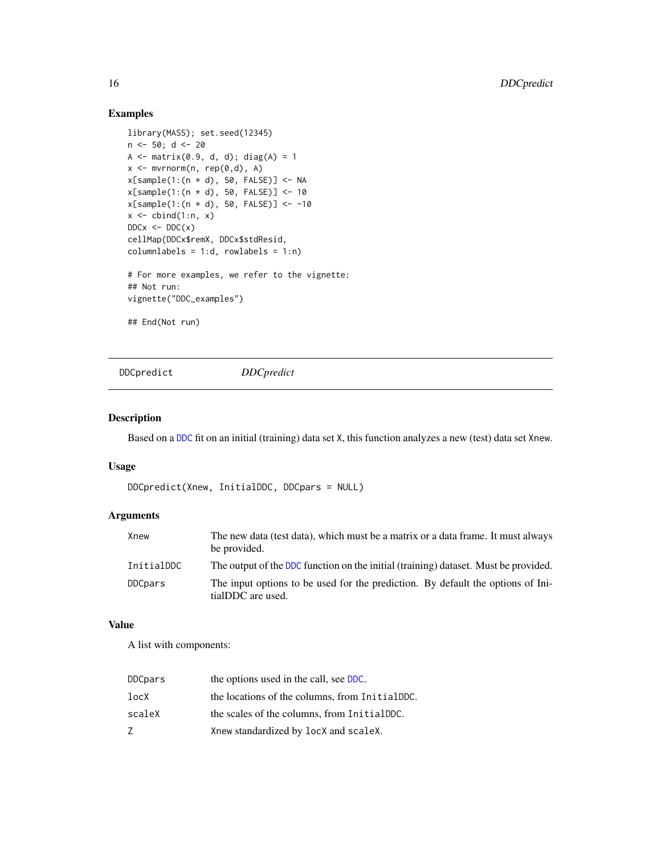# Examples

```
library(MASS); set.seed(12345)
n <- 50; d <- 20
A \leq matrix(0.9, d, d); diag(A) = 1
x \leq -m \text{vrrnorm}(n, rep(\emptyset, d), A)x[sample(1:(n * d), 50, FALSE)] <- NA
x[sample(1:(n * d), 50, FALSE)] <- 10
x[sample(1:(n * d), 50, FALSE)] <- -10
x \leftarrow \text{cbind}(1:n, x)DDCx \leq DDC(x)cellMap(DDCx$remX, DDCx$stdResid,
columnlabels = 1:d, rowlabels = 1:n)# For more examples, we refer to the vignette:
## Not run:
vignette("DDC_examples")
## End(Not run)
```
<span id="page-15-1"></span>DDCpredict *DDCpredict*

# Description

Based on a [DDC](#page-11-1) fit on an initial (training) data set X, this function analyzes a new (test) data set Xnew.

#### Usage

```
DDCpredict(Xnew, InitialDDC, DDCpars = NULL)
```
# Arguments

| Xnew           | The new data (test data), which must be a matrix or a data frame. It must always<br>be provided.     |
|----------------|------------------------------------------------------------------------------------------------------|
| InitialDDC     | The output of the DDC function on the initial (training) dataset. Must be provided.                  |
| <b>DDCpars</b> | The input options to be used for the prediction. By default the options of Ini-<br>tialDDC are used. |

# Value

A list with components:

| <b>DDCpars</b> | the options used in the call, see DDC.         |
|----------------|------------------------------------------------|
| locX           | the locations of the columns, from InitialDDC. |
| scaleX         | the scales of the columns, from InitialDDC.    |
| 7              | Xnew standardized by locX and scaleX.          |

<span id="page-15-0"></span>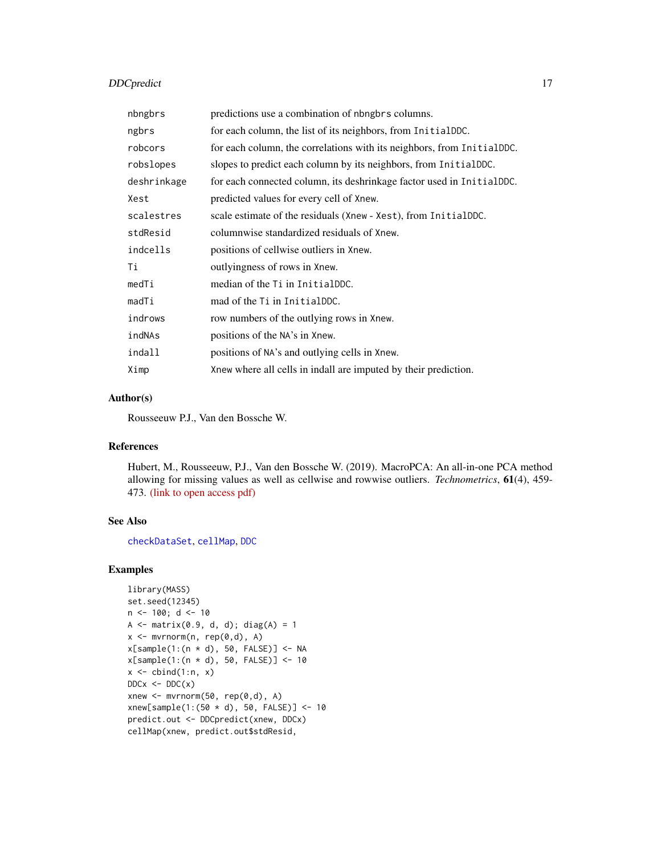# <span id="page-16-0"></span>DDCpredict 17

| nbngbrs     | predictions use a combination of nbngbrs columns.                      |
|-------------|------------------------------------------------------------------------|
| ngbrs       | for each column, the list of its neighbors, from InitialDDC.           |
| robcors     | for each column, the correlations with its neighbors, from InitialDDC. |
| robslopes   | slopes to predict each column by its neighbors, from InitialDDC.       |
| deshrinkage | for each connected column, its deshrinkage factor used in InitialDDC.  |
| Xest        | predicted values for every cell of Xnew.                               |
| scalestres  | scale estimate of the residuals (Xnew - Xest), from InitialDDC.        |
| stdResid    | columnwise standardized residuals of Xnew.                             |
| indcells    | positions of cellwise outliers in Xnew.                                |
| Τi          | outlyingness of rows in Xnew.                                          |
| medTi       | median of the Ti in InitialDDC.                                        |
| madTi       | mad of the Ti in InitialDDC.                                           |
| indrows     | row numbers of the outlying rows in Xnew.                              |
| indNAs      | positions of the NA's in Xnew.                                         |
| indall      | positions of NA's and outlying cells in Xnew.                          |
| Ximp        | Xnew where all cells in indall are imputed by their prediction.        |

# Author(s)

Rousseeuw P.J., Van den Bossche W.

#### References

Hubert, M., Rousseeuw, P.J., Van den Bossche W. (2019). MacroPCA: An all-in-one PCA method allowing for missing values as well as cellwise and rowwise outliers. *Technometrics*, 61(4), 459- 473. [\(link to open access pdf\)](https://www.tandfonline.com/doi/full/10.1080/00401706.2018.1562989)

#### See Also

[checkDataSet](#page-5-1), [cellMap](#page-3-1), [DDC](#page-11-1)

# Examples

```
library(MASS)
set.seed(12345)
n < -100; d < -10A \leq - matrix(0.9, d, d); diag(A) = 1
x \leq -m \text{wrnorm}(n, rep(0,d), A)x[sample(1:(n * d), 50, FALSE)] <- NA
x[sample(1:(n * d), 50, FALSE)] < -10x \le cbind(1:n, x)
DDCx \leftarrow DDC(x)xnew \leq mvrnorm(50, rep(0,d), A)
xnew[sample(1:(50 * d), 50, FALSE)] < -10predict.out <- DDCpredict(xnew, DDCx)
cellMap(xnew, predict.out$stdResid,
```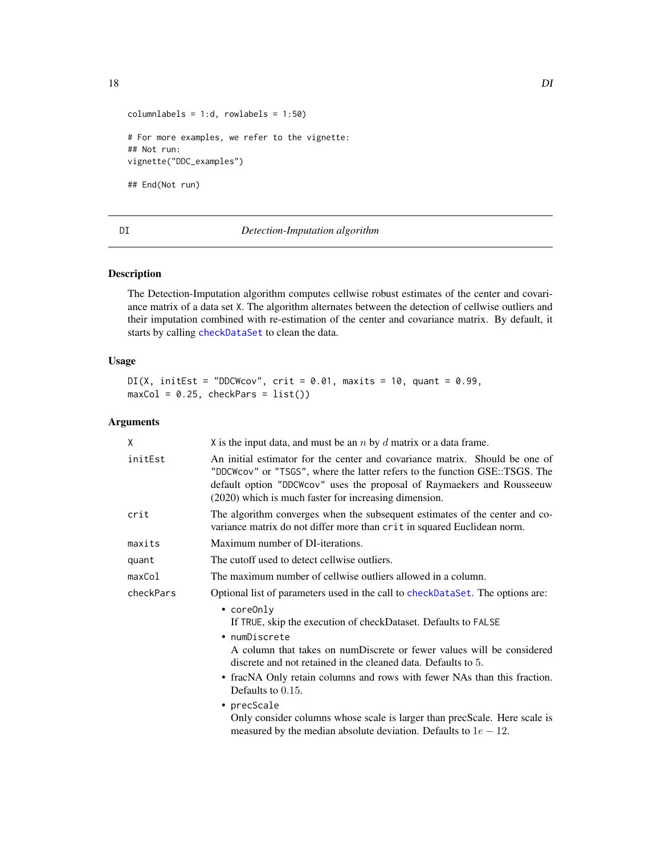<span id="page-17-0"></span>

```
columnlabels = 1:d, rowlabels = 1:50)# For more examples, we refer to the vignette:
## Not run:
vignette("DDC_examples")
## End(Not run)
```
#### <span id="page-17-1"></span>DI *Detection-Imputation algorithm*

# Description

The Detection-Imputation algorithm computes cellwise robust estimates of the center and covariance matrix of a data set X. The algorithm alternates between the detection of cellwise outliers and their imputation combined with re-estimation of the center and covariance matrix. By default, it starts by calling [checkDataSet](#page-5-1) to clean the data.

# Usage

```
DI(X, initEst = "DDCWcov", crit = 0.01, maxits = 10, quant = 0.99,maxCol = 0.25, checkPars = list()
```

| X         | X is the input data, and must be an $n$ by $d$ matrix or a data frame.                                                                                                                                                                                                                                                                                                                                                                                                                                                |  |
|-----------|-----------------------------------------------------------------------------------------------------------------------------------------------------------------------------------------------------------------------------------------------------------------------------------------------------------------------------------------------------------------------------------------------------------------------------------------------------------------------------------------------------------------------|--|
| initEst   | An initial estimator for the center and covariance matrix. Should be one of<br>"DDCWcov" or "TSGS", where the latter refers to the function GSE::TSGS. The<br>default option "DDCWcov" uses the proposal of Raymaekers and Rousseeuw<br>(2020) which is much faster for increasing dimension.                                                                                                                                                                                                                         |  |
| crit      | The algorithm converges when the subsequent estimates of the center and co-<br>variance matrix do not differ more than crit in squared Euclidean norm.                                                                                                                                                                                                                                                                                                                                                                |  |
| maxits    | Maximum number of DI-iterations.                                                                                                                                                                                                                                                                                                                                                                                                                                                                                      |  |
| quant     | The cutoff used to detect cellwise outliers.                                                                                                                                                                                                                                                                                                                                                                                                                                                                          |  |
| maxCol    | The maximum number of cellwise outliers allowed in a column.                                                                                                                                                                                                                                                                                                                                                                                                                                                          |  |
| checkPars | Optional list of parameters used in the call to checkDataSet. The options are:                                                                                                                                                                                                                                                                                                                                                                                                                                        |  |
|           | $\bullet$ coreOnly<br>If TRUE, skip the execution of checkDataset. Defaults to FALSE<br>• numDiscrete<br>A column that takes on numDiscrete or fewer values will be considered<br>discrete and not retained in the cleaned data. Defaults to 5.<br>• fracNA Only retain columns and rows with fewer NAs than this fraction.<br>Defaults to $0.15$ .<br>• precScale<br>Only consider columns whose scale is larger than precScale. Here scale is<br>measured by the median absolute deviation. Defaults to $1e - 12$ . |  |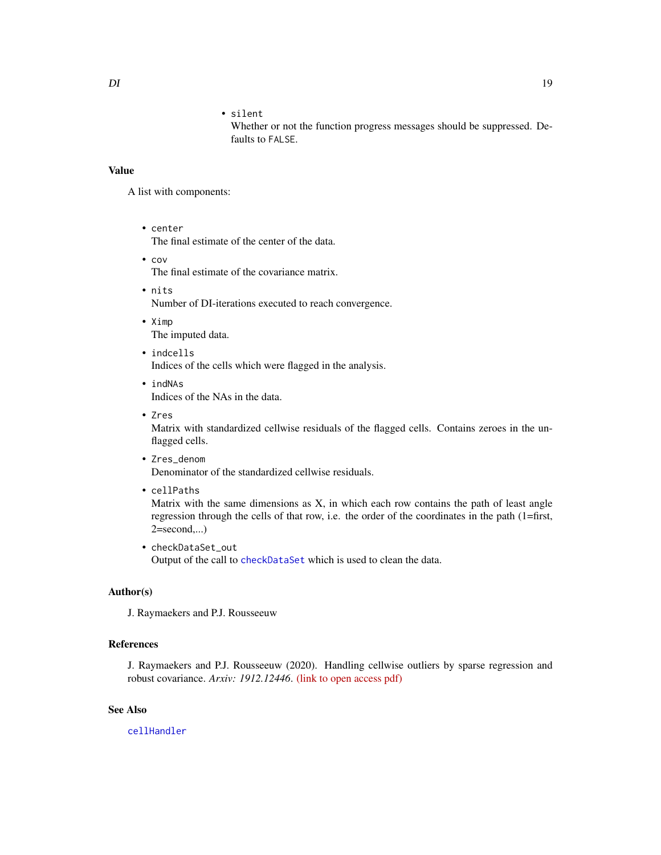# • silent

Whether or not the function progress messages should be suppressed. Defaults to FALSE.

## <span id="page-18-0"></span>Value

A list with components:

• center

The final estimate of the center of the data.

• cov

The final estimate of the covariance matrix.

- nits Number of DI-iterations executed to reach convergence.
- Ximp The imputed data.
- indcells Indices of the cells which were flagged in the analysis.
- indNAs Indices of the NAs in the data.
- Zres Matrix with standardized cellwise residuals of the flagged cells. Contains zeroes in the unflagged cells.
- Zres\_denom Denominator of the standardized cellwise residuals.
- cellPaths

Matrix with the same dimensions as  $X$ , in which each row contains the path of least angle regression through the cells of that row, i.e. the order of the coordinates in the path (1=first, 2=second,...)

• checkDataSet\_out Output of the call to [checkDataSet](#page-5-1) which is used to clean the data.

# Author(s)

J. Raymaekers and P.J. Rousseeuw

# References

J. Raymaekers and P.J. Rousseeuw (2020). Handling cellwise outliers by sparse regression and robust covariance. *Arxiv: 1912.12446*. [\(link to open access pdf\)](https://arxiv.org/abs/1912.12446)

# See Also

[cellHandler](#page-1-1)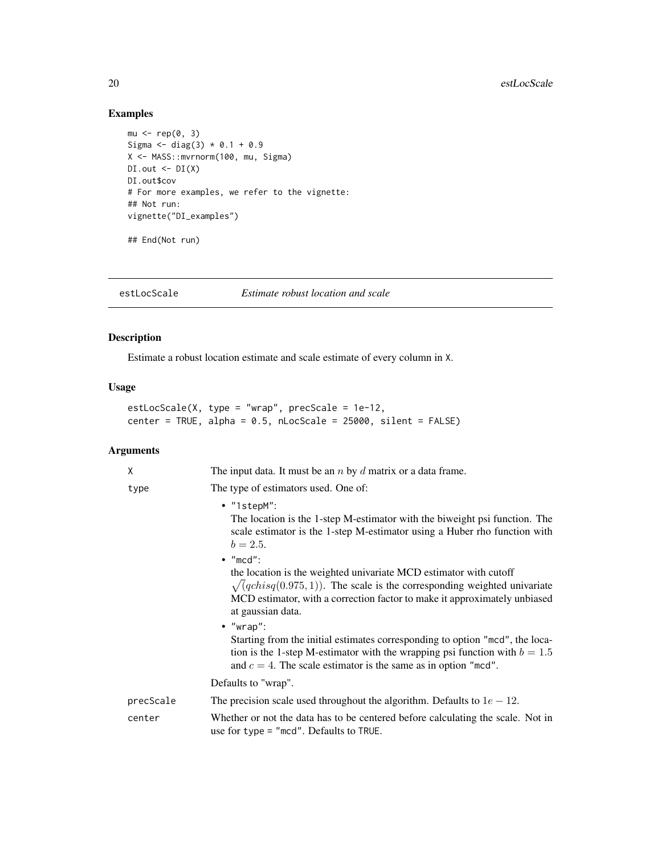# Examples

```
mu < - rep(0, 3)Sigma <- diag(3) * 0.1 + 0.9X <- MASS::mvrnorm(100, mu, Sigma)
DI.out \leftarrow DI(X)DI.out$cov
# For more examples, we refer to the vignette:
## Not run:
vignette("DI_examples")
## End(Not run)
```
<span id="page-19-1"></span>estLocScale *Estimate robust location and scale*

# Description

Estimate a robust location estimate and scale estimate of every column in X.

# Usage

estLocScale(X, type = "wrap", precScale = 1e-12, center = TRUE, alpha = 0.5, nLocScale = 25000, silent = FALSE)

| X         | The input data. It must be an $n$ by $d$ matrix or a data frame.                                                                                                                                                                                                            |
|-----------|-----------------------------------------------------------------------------------------------------------------------------------------------------------------------------------------------------------------------------------------------------------------------------|
| type      | The type of estimators used. One of:                                                                                                                                                                                                                                        |
|           | $\bullet$ "1stepM":<br>The location is the 1-step M-estimator with the biweight psi function. The<br>scale estimator is the 1-step M-estimator using a Huber rho function with<br>$b = 2.5.$                                                                                |
|           | $\bullet$ "mcd":<br>the location is the weighted univariate MCD estimator with cutoff<br>$\sqrt{(qchisq(0.975, 1))}$ . The scale is the corresponding weighted univariate<br>MCD estimator, with a correction factor to make it approximately unbiased<br>at gaussian data. |
|           | $\bullet$ "wrap":<br>Starting from the initial estimates corresponding to option "mcd", the loca-<br>tion is the 1-step M-estimator with the wrapping psi function with $b = 1.5$<br>and $c = 4$ . The scale estimator is the same as in option "mcd".                      |
|           | Defaults to "wrap".                                                                                                                                                                                                                                                         |
| precScale | The precision scale used throughout the algorithm. Defaults to $1e - 12$ .                                                                                                                                                                                                  |
| center    | Whether or not the data has to be centered before calculating the scale. Not in<br>use for type = "mcd". Defaults to TRUE.                                                                                                                                                  |

<span id="page-19-0"></span>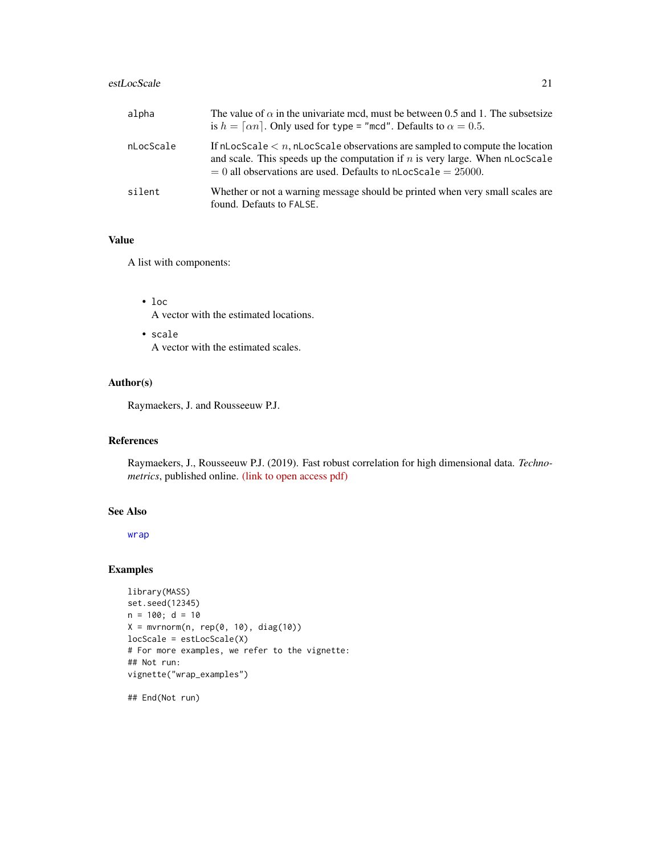#### <span id="page-20-0"></span>estLocScale 21

| alpha     | The value of $\alpha$ in the univariate mcd, must be between 0.5 and 1. The subsetsize<br>is $h = \lceil \alpha n \rceil$ . Only used for type = "mcd". Defaults to $\alpha = 0.5$ .                                                            |
|-----------|-------------------------------------------------------------------------------------------------------------------------------------------------------------------------------------------------------------------------------------------------|
| nLocScale | If $n$ LocScale $\lt n$ , $n$ LocScale observations are sampled to compute the location<br>and scale. This speeds up the computation if $n$ is very large. When nLocScale<br>$= 0$ all observations are used. Defaults to nLocScale $= 25000$ . |
| silent    | Whether or not a warning message should be printed when very small scales are<br>found. Defauts to FALSE.                                                                                                                                       |

# Value

A list with components:

• loc

A vector with the estimated locations.

• scale A vector with the estimated scales.

# Author(s)

Raymaekers, J. and Rousseeuw P.J.

# References

Raymaekers, J., Rousseeuw P.J. (2019). Fast robust correlation for high dimensional data. *Technometrics*, published online. [\(link to open access pdf\)](https://www.tandfonline.com/doi/full/10.1080/00401706.2019.1677270)

# See Also

[wrap](#page-35-1)

# Examples

```
library(MASS)
set.seed(12345)
n = 100; d = 10X = mvrnorm(n, rep(0, 10), diag(10))locScale = estLocScale(X)
# For more examples, we refer to the vignette:
## Not run:
vignette("wrap_examples")
```
## End(Not run)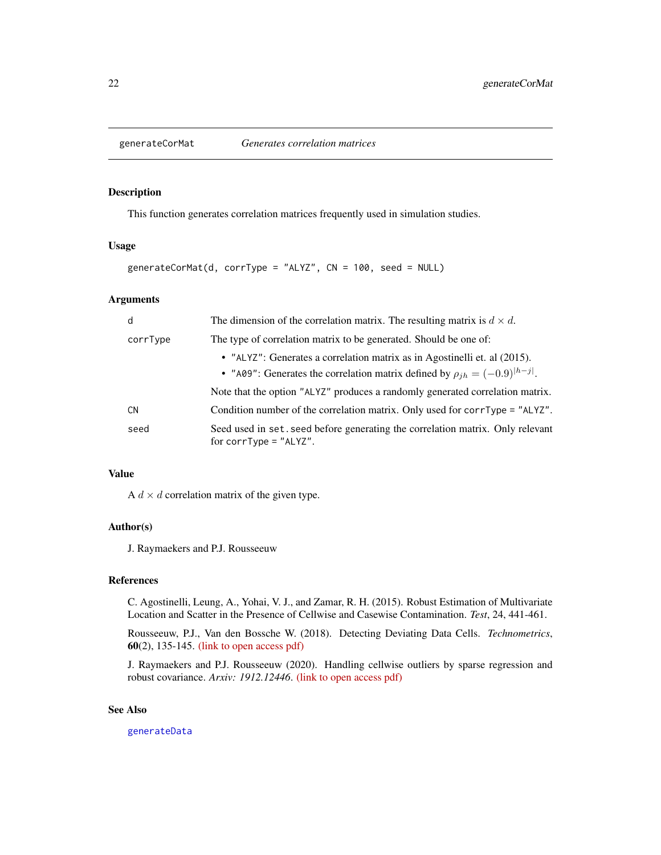<span id="page-21-1"></span><span id="page-21-0"></span>

This function generates correlation matrices frequently used in simulation studies.

#### Usage

```
generateCorMat(d, corrType = "ALYZ", CN = 100, seed = NULL)
```
# Arguments

| d        | The dimension of the correlation matrix. The resulting matrix is $d \times d$ .                                                                                  |
|----------|------------------------------------------------------------------------------------------------------------------------------------------------------------------|
| corrType | The type of correlation matrix to be generated. Should be one of:                                                                                                |
|          | • "ALYZ": Generates a correlation matrix as in Agostinelli et. al (2015).<br>• "A09": Generates the correlation matrix defined by $\rho_{ih} = (-0.9)^{ h-j }$ . |
|          | Note that the option "ALYZ" produces a randomly generated correlation matrix.                                                                                    |
| CN.      | Condition number of the correlation matrix. Only used for corrType = $"ALYZ"$ .                                                                                  |
| seed     | Seed used in set. seed before generating the correlation matrix. Only relevant<br>for corrType = $"ALYZ"$ .                                                      |

#### Value

A  $d \times d$  correlation matrix of the given type.

# Author(s)

J. Raymaekers and P.J. Rousseeuw

# References

C. Agostinelli, Leung, A., Yohai, V. J., and Zamar, R. H. (2015). Robust Estimation of Multivariate Location and Scatter in the Presence of Cellwise and Casewise Contamination. *Test*, 24, 441-461.

Rousseeuw, P.J., Van den Bossche W. (2018). Detecting Deviating Data Cells. *Technometrics*, 60(2), 135-145. [\(link to open access pdf\)](https://www.tandfonline.com/doi/full/10.1080/00401706.2017.1340909)

J. Raymaekers and P.J. Rousseeuw (2020). Handling cellwise outliers by sparse regression and robust covariance. *Arxiv: 1912.12446*. [\(link to open access pdf\)](https://arxiv.org/abs/1912.12446)

#### See Also

[generateData](#page-22-1)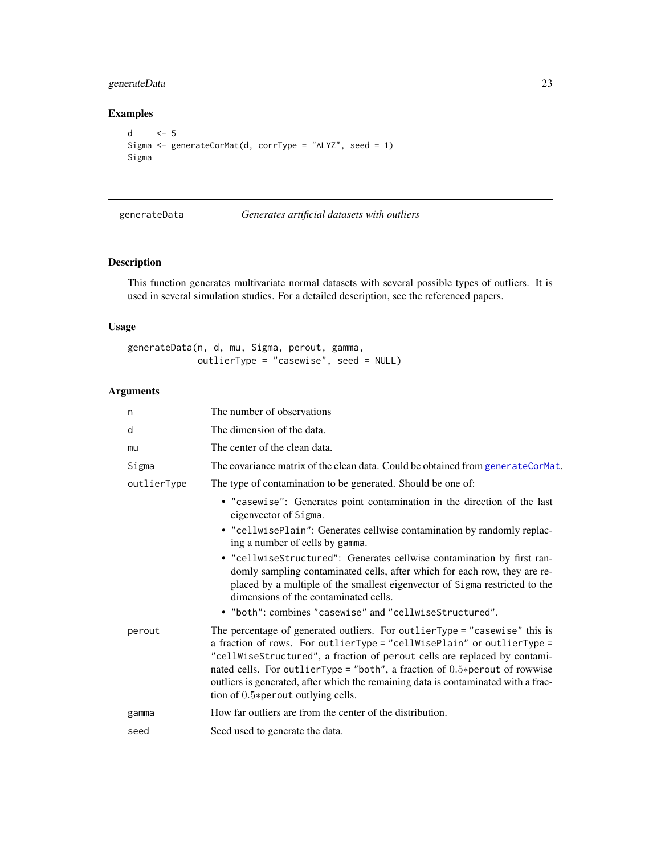# <span id="page-22-0"></span>generateData 23

# Examples

```
d <- 5
Sigma <- generateCorMat(d, corrType = "ALYZ", seed = 1)
Sigma
```
<span id="page-22-1"></span>generateData *Generates artificial datasets with outliers*

# Description

This function generates multivariate normal datasets with several possible types of outliers. It is used in several simulation studies. For a detailed description, see the referenced papers.

# Usage

```
generateData(n, d, mu, Sigma, perout, gamma,
             outlierType = "casewise", seed = NULL)
```

| The number of observations                                                                                                                                                                                                                                                                                                                                                                                                                          |
|-----------------------------------------------------------------------------------------------------------------------------------------------------------------------------------------------------------------------------------------------------------------------------------------------------------------------------------------------------------------------------------------------------------------------------------------------------|
| The dimension of the data.                                                                                                                                                                                                                                                                                                                                                                                                                          |
| The center of the clean data.                                                                                                                                                                                                                                                                                                                                                                                                                       |
| The covariance matrix of the clean data. Could be obtained from generateCorMat.                                                                                                                                                                                                                                                                                                                                                                     |
| The type of contamination to be generated. Should be one of:                                                                                                                                                                                                                                                                                                                                                                                        |
| • "casewise": Generates point contamination in the direction of the last<br>eigenvector of Sigma.                                                                                                                                                                                                                                                                                                                                                   |
| • "cellwisePlain": Generates cellwise contamination by randomly replac-<br>ing a number of cells by gamma.                                                                                                                                                                                                                                                                                                                                          |
| • "cellwiseStructured": Generates cellwise contamination by first ran-<br>domly sampling contaminated cells, after which for each row, they are re-<br>placed by a multiple of the smallest eigenvector of Sigma restricted to the<br>dimensions of the contaminated cells.                                                                                                                                                                         |
| • "both": combines "casewise" and "cellwiseStructured".                                                                                                                                                                                                                                                                                                                                                                                             |
| The percentage of generated outliers. For outlier Type = "casewise" this is<br>a fraction of rows. For outlierType = "cellWisePlain" or outlierType =<br>"cellWiseStructured", a fraction of perout cells are replaced by contami-<br>nated cells. For outlier Type = "both", a fraction of $0.5*$ perout of rowwise<br>outliers is generated, after which the remaining data is contaminated with a frac-<br>tion of $0.5*$ perout outlying cells. |
| How far outliers are from the center of the distribution.                                                                                                                                                                                                                                                                                                                                                                                           |
| Seed used to generate the data.                                                                                                                                                                                                                                                                                                                                                                                                                     |
|                                                                                                                                                                                                                                                                                                                                                                                                                                                     |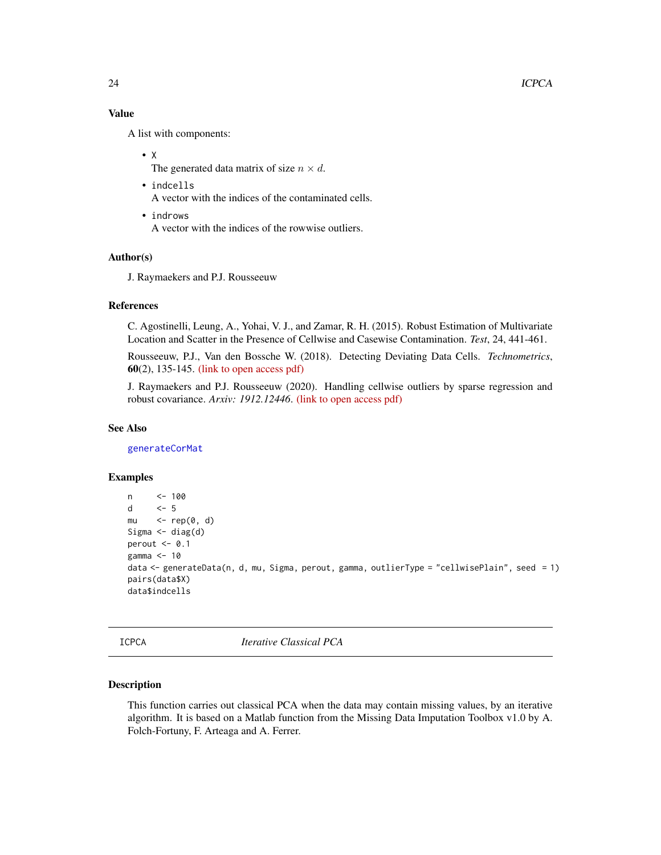# Value

A list with components:

# • X

The generated data matrix of size  $n \times d$ .

- indcells A vector with the indices of the contaminated cells.
- indrows A vector with the indices of the rowwise outliers.

# Author(s)

J. Raymaekers and P.J. Rousseeuw

# References

C. Agostinelli, Leung, A., Yohai, V. J., and Zamar, R. H. (2015). Robust Estimation of Multivariate Location and Scatter in the Presence of Cellwise and Casewise Contamination. *Test*, 24, 441-461.

Rousseeuw, P.J., Van den Bossche W. (2018). Detecting Deviating Data Cells. *Technometrics*, 60(2), 135-145. [\(link to open access pdf\)](https://www.tandfonline.com/doi/full/10.1080/00401706.2017.1340909)

J. Raymaekers and P.J. Rousseeuw (2020). Handling cellwise outliers by sparse regression and robust covariance. *Arxiv: 1912.12446*. [\(link to open access pdf\)](https://arxiv.org/abs/1912.12446)

# See Also

[generateCorMat](#page-21-1)

# Examples

```
n <- 100
d <- 5
mu \leq rep(0, d)
Sigma \leftarrow diag(d)
perout <-0.1gamma <- 10
data <- generateData(n, d, mu, Sigma, perout, gamma, outlierType = "cellwisePlain", seed = 1)
pairs(data$X)
data$indcells
```
ICPCA *Iterative Classical PCA*

#### Description

This function carries out classical PCA when the data may contain missing values, by an iterative algorithm. It is based on a Matlab function from the Missing Data Imputation Toolbox v1.0 by A. Folch-Fortuny, F. Arteaga and A. Ferrer.

<span id="page-23-0"></span>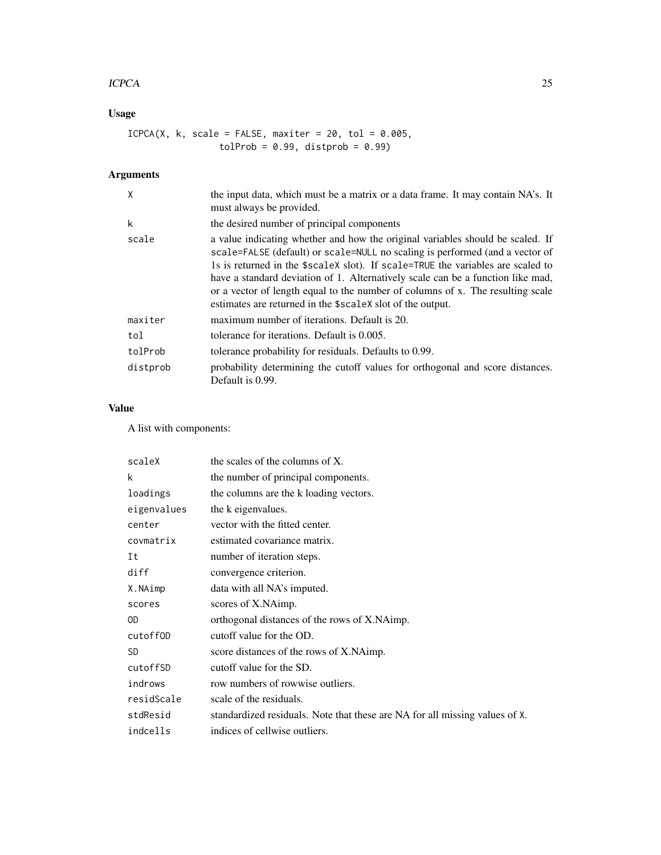#### ICPCA 25

# Usage

 $ICPCA(X, k, scale = FALSE, maxiter = 20, tol = 0.005,$  $tolProb = 0.99, distprob = 0.99)$ 

# Arguments

| X        | the input data, which must be a matrix or a data frame. It may contain NA's. It<br>must always be provided.                                                                                                                                                                                                                                                                                                                                                                           |
|----------|---------------------------------------------------------------------------------------------------------------------------------------------------------------------------------------------------------------------------------------------------------------------------------------------------------------------------------------------------------------------------------------------------------------------------------------------------------------------------------------|
| k        | the desired number of principal components                                                                                                                                                                                                                                                                                                                                                                                                                                            |
| scale    | a value indicating whether and how the original variables should be scaled. If<br>scale=FALSE (default) or scale=NULL no scaling is performed (and a vector of<br>1s is returned in the \$scaleX slot). If scale=TRUE the variables are scaled to<br>have a standard deviation of 1. Alternatively scale can be a function like mad,<br>or a vector of length equal to the number of columns of x. The resulting scale<br>estimates are returned in the \$scale X slot of the output. |
| maxiter  | maximum number of iterations. Default is 20.                                                                                                                                                                                                                                                                                                                                                                                                                                          |
| tol      | tolerance for iterations. Default is 0.005.                                                                                                                                                                                                                                                                                                                                                                                                                                           |
| tolProb  | tolerance probability for residuals. Defaults to 0.99.                                                                                                                                                                                                                                                                                                                                                                                                                                |
| distprob | probability determining the cutoff values for orthogonal and score distances.<br>Default is 0.99.                                                                                                                                                                                                                                                                                                                                                                                     |

# Value

A list with components:

| scaleX      | the scales of the columns of X.                                             |
|-------------|-----------------------------------------------------------------------------|
| k           | the number of principal components.                                         |
| loadings    | the columns are the k loading vectors.                                      |
| eigenvalues | the k eigenvalues.                                                          |
| center      | vector with the fitted center.                                              |
| covmatrix   | estimated covariance matrix.                                                |
| Ιt          | number of iteration steps.                                                  |
| diff        | convergence criterion.                                                      |
| X.NAimp     | data with all NA's imputed.                                                 |
| scores      | scores of X.NAimp.                                                          |
| 0D          | orthogonal distances of the rows of X.NAimp.                                |
| cutoffOD    | cutoff value for the OD.                                                    |
| <b>SD</b>   | score distances of the rows of X.NAimp.                                     |
| cutoffSD    | cutoff value for the SD.                                                    |
| indrows     | row numbers of rowwise outliers.                                            |
| residScale  | scale of the residuals.                                                     |
| stdResid    | standardized residuals. Note that these are NA for all missing values of X. |
| indcells    | indices of cellwise outliers.                                               |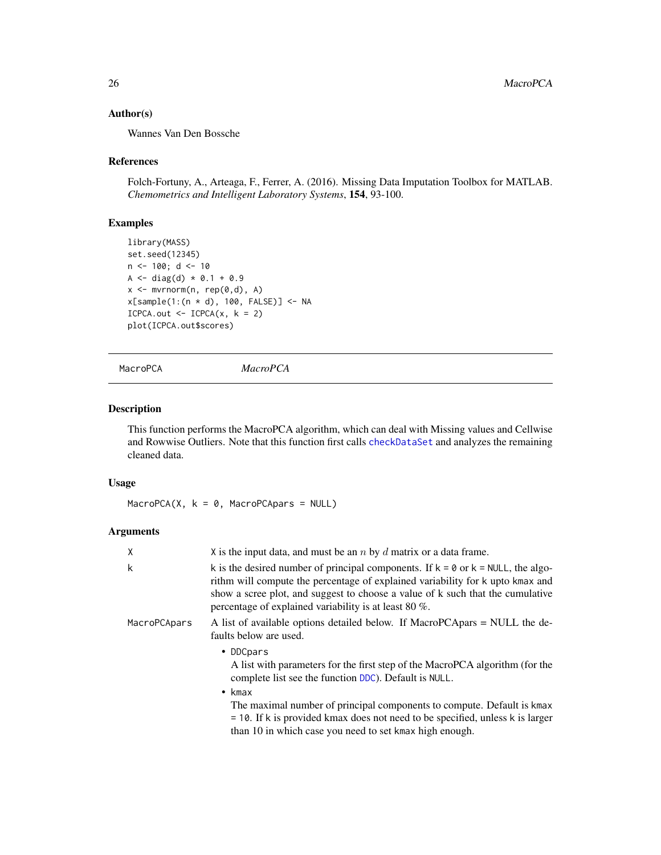# Author(s)

Wannes Van Den Bossche

#### References

Folch-Fortuny, A., Arteaga, F., Ferrer, A. (2016). Missing Data Imputation Toolbox for MATLAB. *Chemometrics and Intelligent Laboratory Systems*, 154, 93-100.

# Examples

```
library(MASS)
set.seed(12345)
n <- 100; d <- 10
A <- diag(d) * 0.1 + 0.9x \leq -m \text{wrnorm}(n, rep(\emptyset, d), A)x[sample(1:(n * d), 100, FALSE)] <- NA
ICPCA.out < -ICPCA(x, k = 2)plot(ICPCA.out$scores)
```
<span id="page-25-1"></span>MacroPCA *MacroPCA*

# Description

This function performs the MacroPCA algorithm, which can deal with Missing values and Cellwise and Rowwise Outliers. Note that this function first calls [checkDataSet](#page-5-1) and analyzes the remaining cleaned data.

# Usage

MacroPCA $(X, k = 0, \text{MacroPCA}$ pars = NULL)

| $\times$     | X is the input data, and must be an $n$ by $d$ matrix or a data frame.                                                                                                                                                                                                                                                            |
|--------------|-----------------------------------------------------------------------------------------------------------------------------------------------------------------------------------------------------------------------------------------------------------------------------------------------------------------------------------|
| k            | k is the desired number of principal components. If $k = 0$ or $k = NULL$ , the algo-<br>rithm will compute the percentage of explained variability for k upto kmax and<br>show a scree plot, and suggest to choose a value of k such that the cumulative<br>percentage of explained variability is at least 80 $\%$ .            |
| MacroPCApars | A list of available options detailed below. If MacroPCApars = NULL the de-<br>faults below are used.                                                                                                                                                                                                                              |
|              | • DDCpars<br>A list with parameters for the first step of the MacroPCA algorithm (for the<br>complete list see the function DDC). Default is NULL.<br>$\bullet$ kmax<br>The maximal number of principal components to compute. Default is kmax<br>$=$ 10. If k is provided kmax does not need to be specified, unless k is larger |
|              | than 10 in which case you need to set kmax high enough.                                                                                                                                                                                                                                                                           |

<span id="page-25-0"></span>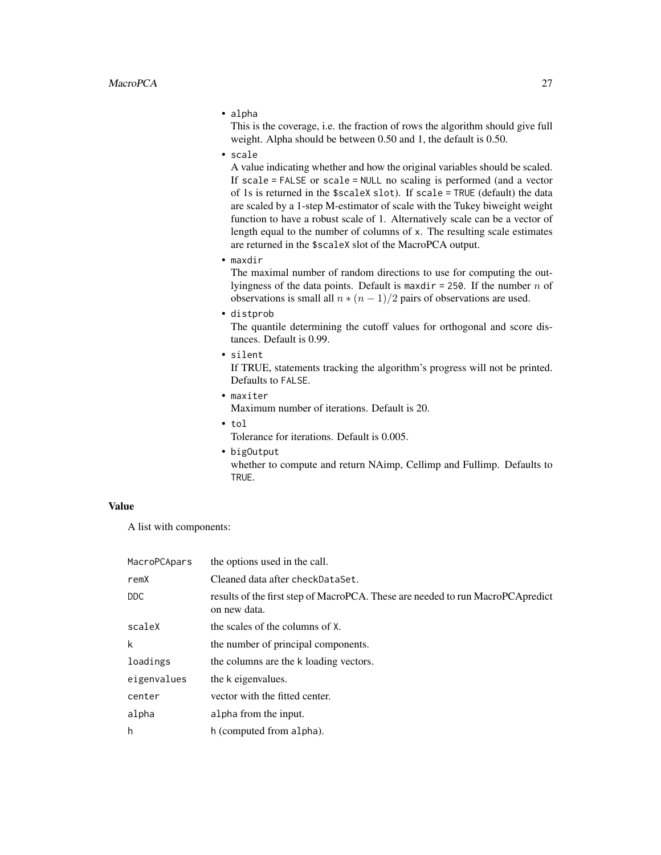• alpha

This is the coverage, i.e. the fraction of rows the algorithm should give full weight. Alpha should be between 0.50 and 1, the default is 0.50.

• scale

A value indicating whether and how the original variables should be scaled. If scale = FALSE or scale = NULL no scaling is performed (and a vector of 1s is returned in the \$scaleX slot). If scale = TRUE (default) the data are scaled by a 1-step M-estimator of scale with the Tukey biweight weight function to have a robust scale of 1. Alternatively scale can be a vector of length equal to the number of columns of x. The resulting scale estimates are returned in the \$scaleX slot of the MacroPCA output.

• maxdir

The maximal number of random directions to use for computing the outlyingness of the data points. Default is maxdir = 250. If the number  $n$  of observations is small all  $n * (n - 1)/2$  pairs of observations are used.

• distprob

The quantile determining the cutoff values for orthogonal and score distances. Default is 0.99.

• silent

If TRUE, statements tracking the algorithm's progress will not be printed. Defaults to FALSE.

• maxiter

Maximum number of iterations. Default is 20.

• tol

Tolerance for iterations. Default is 0.005.

• bigOutput whether to compute and return NAimp, Cellimp and Fullimp. Defaults to TRUE.

#### Value

A list with components:

| MacroPCApars | the options used in the call.                                                                   |
|--------------|-------------------------------------------------------------------------------------------------|
| remX         | Cleaned data after checkDataSet.                                                                |
| DDC.         | results of the first step of MacroPCA. These are needed to run MacroPCA predict<br>on new data. |
| scaleX       | the scales of the columns of X.                                                                 |
| k            | the number of principal components.                                                             |
| loadings     | the columns are the k loading vectors.                                                          |
| eigenvalues  | the k eigenvalues.                                                                              |
| center       | vector with the fitted center.                                                                  |
| alpha        | alpha from the input.                                                                           |
| h            | h (computed from alpha).                                                                        |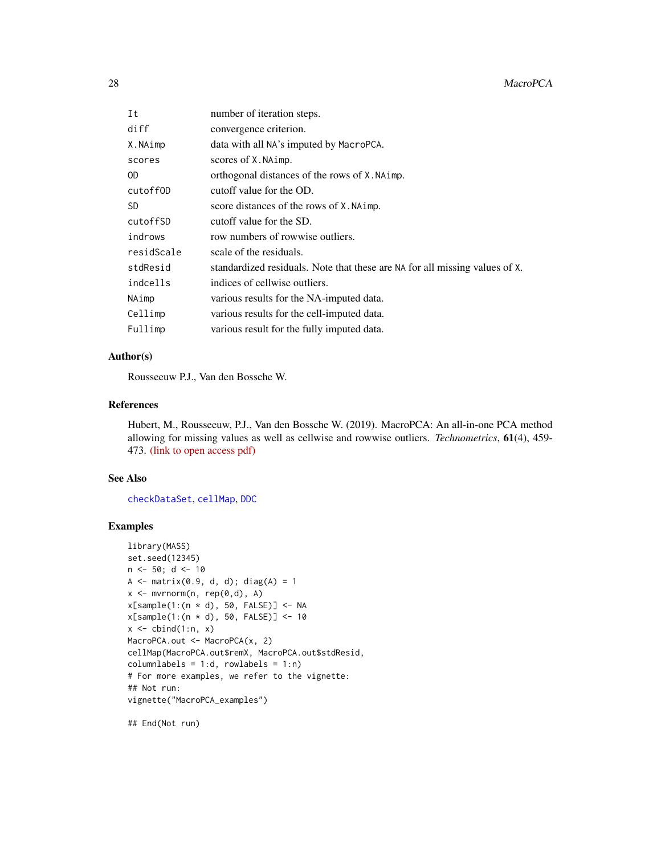<span id="page-27-0"></span>

| Ιt         | number of iteration steps.                                                  |
|------------|-----------------------------------------------------------------------------|
| diff       | convergence criterion.                                                      |
| X.NAimp    | data with all NA's imputed by MacroPCA.                                     |
| scores     | scores of X. NAimp.                                                         |
| OD         | orthogonal distances of the rows of X. NAimp.                               |
| cutoff0D   | cutoff value for the OD.                                                    |
| SD         | score distances of the rows of X. NAimp.                                    |
| cutoffSD   | cutoff value for the SD.                                                    |
| indrows    | row numbers of rowwise outliers.                                            |
| residScale | scale of the residuals.                                                     |
| stdResid   | standardized residuals. Note that these are NA for all missing values of X. |
| indcells   | indices of cellwise outliers.                                               |
| NAimp      | various results for the NA-imputed data.                                    |
| Cellimp    | various results for the cell-imputed data.                                  |
| Fullimp    | various result for the fully imputed data.                                  |
|            |                                                                             |

# Author(s)

Rousseeuw P.J., Van den Bossche W.

#### References

Hubert, M., Rousseeuw, P.J., Van den Bossche W. (2019). MacroPCA: An all-in-one PCA method allowing for missing values as well as cellwise and rowwise outliers. *Technometrics*, 61(4), 459- 473. [\(link to open access pdf\)](https://www.tandfonline.com/doi/full/10.1080/00401706.2018.1562989)

#### See Also

[checkDataSet](#page-5-1), [cellMap](#page-3-1), [DDC](#page-11-1)

#### Examples

```
library(MASS)
set.seed(12345)
n < -50; d < -10A \leq - matrix(0.9, d, d); diag(A) = 1
x <- mvrnorm(n, rep(0,d), A)
x[sample(1:(n * d), 50, FALSE)] <- NA
x[sample(1:(n * d), 50, FALSE)] <- 10
x \leftarrow \text{cbind}(1:n, x)MacroPCA.out <- MacroPCA(x, 2)
cellMap(MacroPCA.out$remX, MacroPCA.out$stdResid,
columnlabels = 1:d, rowlabels = 1:n)# For more examples, we refer to the vignette:
## Not run:
vignette("MacroPCA_examples")
```
## End(Not run)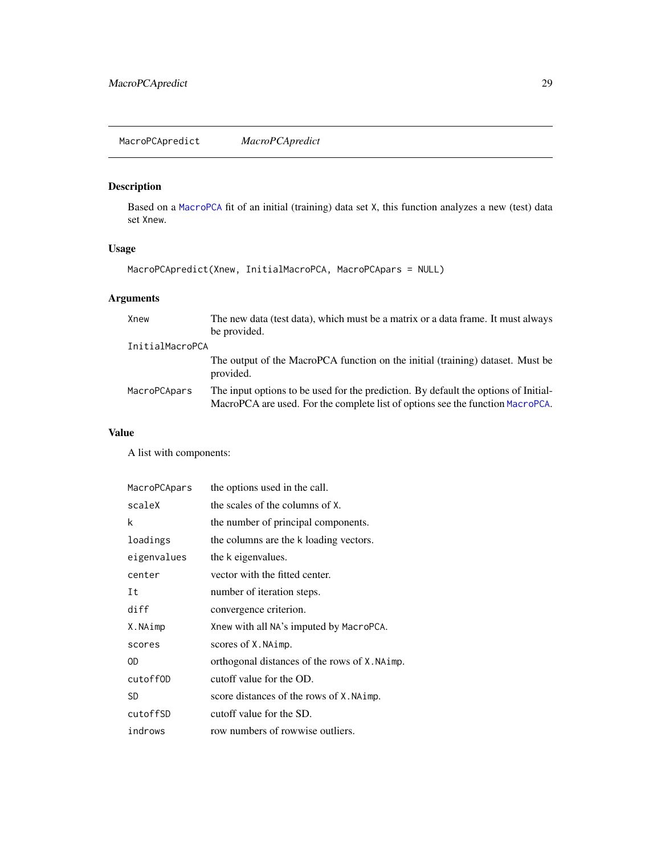<span id="page-28-0"></span>Based on a [MacroPCA](#page-25-1) fit of an initial (training) data set X, this function analyzes a new (test) data set Xnew.

# Usage

```
MacroPCApredict(Xnew, InitialMacroPCA, MacroPCApars = NULL)
```
# Arguments

| Xnew            | The new data (test data), which must be a matrix or a data frame. It must always                                                                                      |
|-----------------|-----------------------------------------------------------------------------------------------------------------------------------------------------------------------|
|                 | be provided.                                                                                                                                                          |
| InitialMacroPCA |                                                                                                                                                                       |
|                 | The output of the MacroPCA function on the initial (training) dataset. Must be<br>provided.                                                                           |
| MacroPCApars    | The input options to be used for the prediction. By default the options of Initial-<br>MacroPCA are used. For the complete list of options see the function MacroPCA. |

# Value

A list with components:

| MacroPCApars | the options used in the call.                 |
|--------------|-----------------------------------------------|
| scaleX       | the scales of the columns of X.               |
| k            | the number of principal components.           |
| loadings     | the columns are the k loading vectors.        |
| eigenvalues  | the k eigenvalues.                            |
| center       | vector with the fitted center.                |
| Ιt           | number of iteration steps.                    |
| diff         | convergence criterion.                        |
| X.NAimp      | Xnew with all NA's imputed by MacroPCA.       |
| scores       | scores of X. NAimp.                           |
| 0D           | orthogonal distances of the rows of X. NAimp. |
| cutoff0D     | cutoff value for the OD.                      |
| <b>SD</b>    | score distances of the rows of X. NAimp.      |
| cutoffSD     | cutoff value for the SD.                      |
| indrows      | row numbers of rowwise outliers.              |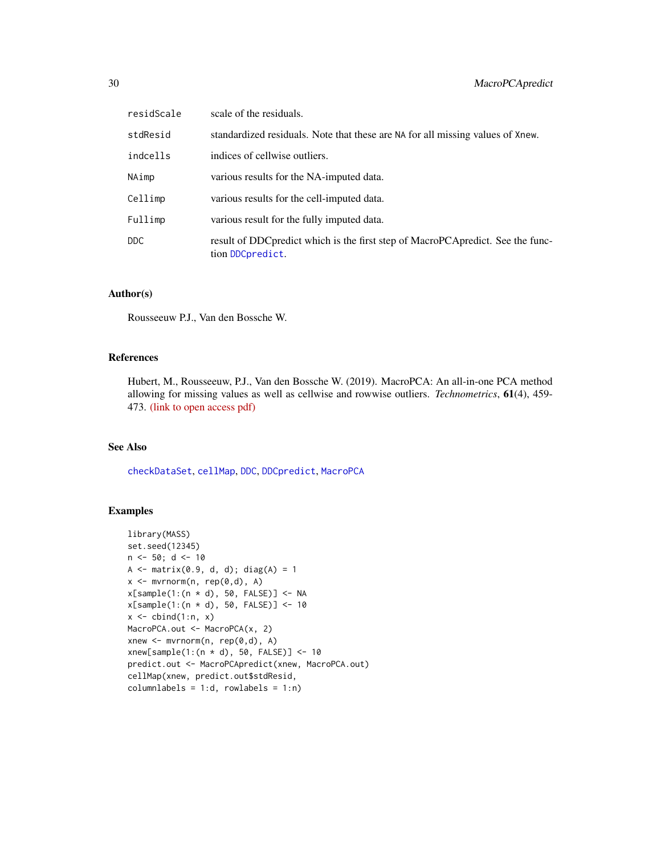<span id="page-29-0"></span>

| residScale | scale of the residuals.                                                                              |
|------------|------------------------------------------------------------------------------------------------------|
| stdResid   | standardized residuals. Note that these are NA for all missing values of Xnew.                       |
| indcells   | indices of cellwise outliers.                                                                        |
| NAimp      | various results for the NA-imputed data.                                                             |
| Cellimp    | various results for the cell-imputed data.                                                           |
| Fullimp    | various result for the fully imputed data.                                                           |
| DDC.       | result of DDC predict which is the first step of MacroPCA predict. See the func-<br>tion DDCpredict. |

#### Author(s)

Rousseeuw P.J., Van den Bossche W.

# References

Hubert, M., Rousseeuw, P.J., Van den Bossche W. (2019). MacroPCA: An all-in-one PCA method allowing for missing values as well as cellwise and rowwise outliers. *Technometrics*, 61(4), 459- 473. [\(link to open access pdf\)](https://www.tandfonline.com/doi/full/10.1080/00401706.2018.1562989)

# See Also

[checkDataSet](#page-5-1), [cellMap](#page-3-1), [DDC](#page-11-1), [DDCpredict](#page-15-1), [MacroPCA](#page-25-1)

# Examples

```
library(MASS)
set.seed(12345)
n <- 50; d <- 10
A <- matrix(0.9, d, d); diag(A) = 1
x \leq -m \text{wronom}(n, rep(0,d), A)x[sample(1:(n * d), 50, FALSE)] <- NA
x[sample(1:(n * d), 50, FALSE)] <- 10
x \leftarrow \text{cbind}(1:n, x)MacroPCA.out <- MacroPCA(x, 2)
xnew \leq mvrnorm(n, rep(0,d), A)
xnew[sample(1:(n * d), 50, FALSE)] < -10predict.out <- MacroPCApredict(xnew, MacroPCA.out)
cellMap(xnew, predict.out$stdResid,
columnlabels = 1:d, rowlabels = 1:n)
```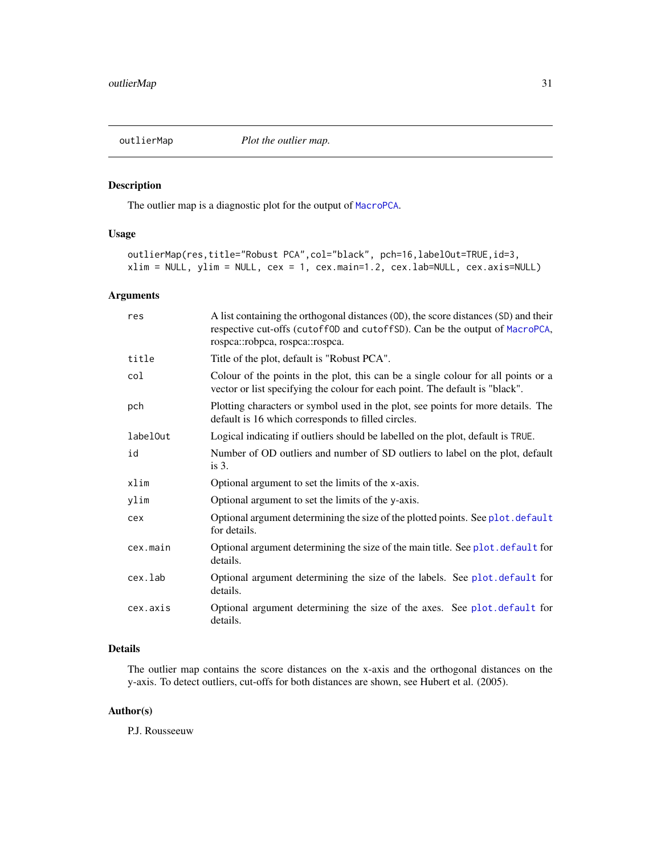<span id="page-30-0"></span>

The outlier map is a diagnostic plot for the output of [MacroPCA](#page-25-1).

# Usage

```
outlierMap(res,title="Robust PCA",col="black", pch=16,labelOut=TRUE,id=3,
xlim = NULL, ylim = NULL, cex = 1, cex.main=1.2, cex.lab=NULL, cex.axis=NULL)
```
# Arguments

| res      | A list containing the orthogonal distances (0D), the score distances (SD) and their<br>respective cut-offs (cutoff0D and cutoffSD). Can be the output of MacroPCA,<br>rospea::robpea, rospea::rospea. |
|----------|-------------------------------------------------------------------------------------------------------------------------------------------------------------------------------------------------------|
| title    | Title of the plot, default is "Robust PCA".                                                                                                                                                           |
| col      | Colour of the points in the plot, this can be a single colour for all points or a<br>vector or list specifying the colour for each point. The default is "black".                                     |
| pch      | Plotting characters or symbol used in the plot, see points for more details. The<br>default is 16 which corresponds to filled circles.                                                                |
| labelOut | Logical indicating if outliers should be labelled on the plot, default is TRUE.                                                                                                                       |
| id       | Number of OD outliers and number of SD outliers to label on the plot, default<br>is $3$ .                                                                                                             |
| xlim     | Optional argument to set the limits of the x-axis.                                                                                                                                                    |
| ylim     | Optional argument to set the limits of the y-axis.                                                                                                                                                    |
| cex      | Optional argument determining the size of the plotted points. See plot default<br>for details.                                                                                                        |
| cex.main | Optional argument determining the size of the main title. See plot. default for<br>details.                                                                                                           |
| cex.lab  | Optional argument determining the size of the labels. See plot .default for<br>details.                                                                                                               |
| cex.axis | Optional argument determining the size of the axes. See plot.default for<br>details.                                                                                                                  |

# Details

The outlier map contains the score distances on the x-axis and the orthogonal distances on the y-axis. To detect outliers, cut-offs for both distances are shown, see Hubert et al. (2005).

# Author(s)

P.J. Rousseeuw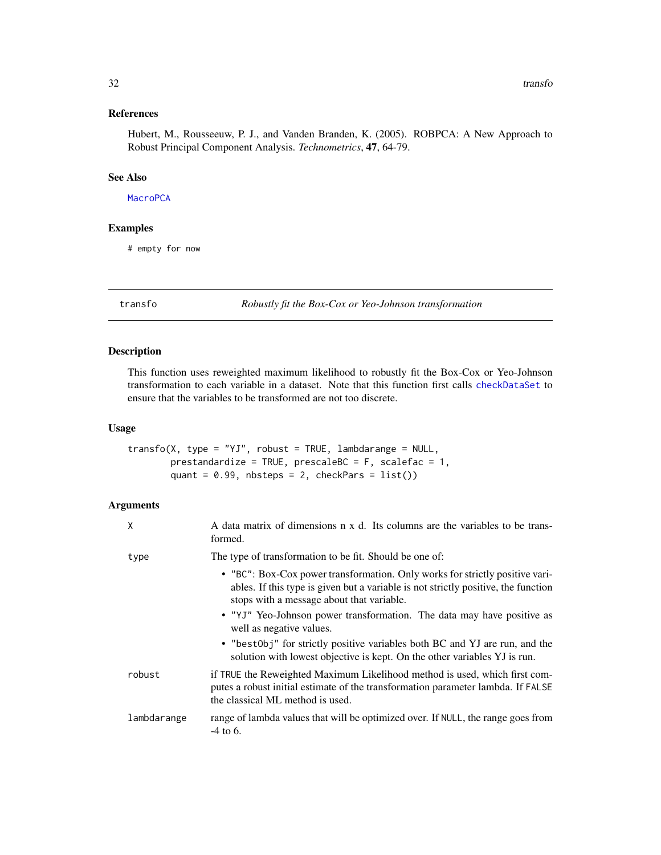# <span id="page-31-0"></span>References

Hubert, M., Rousseeuw, P. J., and Vanden Branden, K. (2005). ROBPCA: A New Approach to Robust Principal Component Analysis. *Technometrics*, 47, 64-79.

#### See Also

#### **[MacroPCA](#page-25-1)**

# Examples

# empty for now

<span id="page-31-1"></span>

transfo *Robustly fit the Box-Cox or Yeo-Johnson transformation*

# Description

This function uses reweighted maximum likelihood to robustly fit the Box-Cox or Yeo-Johnson transformation to each variable in a dataset. Note that this function first calls [checkDataSet](#page-5-1) to ensure that the variables to be transformed are not too discrete.

#### Usage

 $transfo(X, type = "YJ", robust = TRUE, lambdarange = NULL,$ prestandardize = TRUE, prescaleBC = F, scalefac = 1, quant =  $0.99$ , nbsteps = 2, checkPars =  $list()$ 

| X           | A data matrix of dimensions n x d. Its columns are the variables to be trans-<br>formed.                                                                                                                        |
|-------------|-----------------------------------------------------------------------------------------------------------------------------------------------------------------------------------------------------------------|
| type        | The type of transformation to be fit. Should be one of:                                                                                                                                                         |
|             | • "BC": Box-Cox power transformation. Only works for strictly positive vari-<br>ables. If this type is given but a variable is not strictly positive, the function<br>stops with a message about that variable. |
|             | • "YJ" Yeo-Johnson power transformation. The data may have positive as<br>well as negative values.                                                                                                              |
|             | • "best0bj" for strictly positive variables both BC and YJ are run, and the<br>solution with lowest objective is kept. On the other variables YJ is run.                                                        |
| robust      | if TRUE the Reweighted Maximum Likelihood method is used, which first com-<br>putes a robust initial estimate of the transformation parameter lambda. If FALSE<br>the classical ML method is used.              |
| lambdarange | range of lambda values that will be optimized over. If NULL, the range goes from<br>$-4$ to 6.                                                                                                                  |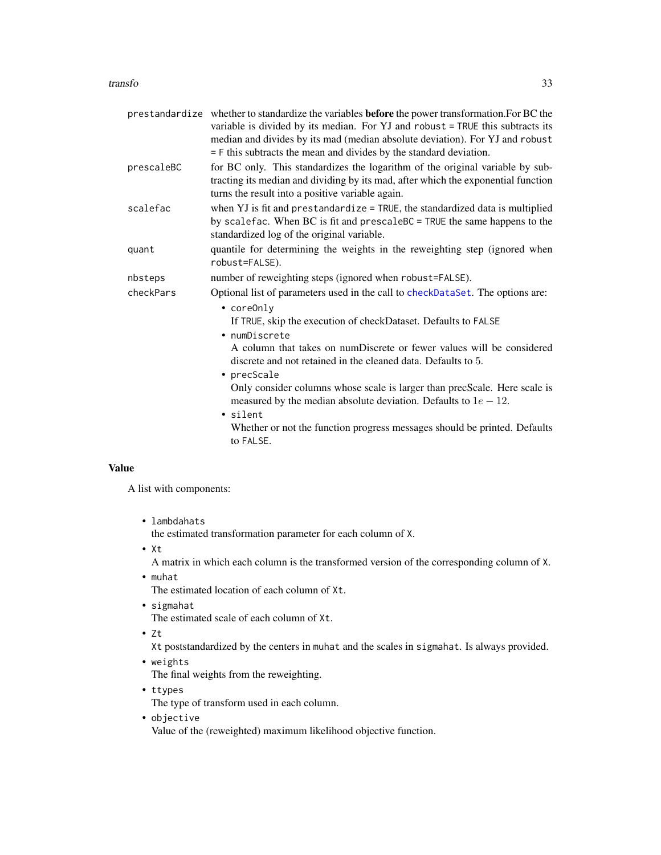#### <span id="page-32-0"></span>transfo 33

|            | prestandardize whether to standardize the variables before the power transformation. For BC the<br>variable is divided by its median. For YJ and robust = TRUE this subtracts its<br>median and divides by its mad (median absolute deviation). For YJ and robust<br>$=$ F this subtracts the mean and divides by the standard deviation. |
|------------|-------------------------------------------------------------------------------------------------------------------------------------------------------------------------------------------------------------------------------------------------------------------------------------------------------------------------------------------|
| prescaleBC | for BC only. This standardizes the logarithm of the original variable by sub-<br>tracting its median and dividing by its mad, after which the exponential function<br>turns the result into a positive variable again.                                                                                                                    |
| scalefac   | when YJ is fit and prestandardize = TRUE, the standardized data is multiplied<br>by scalefac. When BC is fit and prescaleBC = TRUE the same happens to the<br>standardized log of the original variable.                                                                                                                                  |
| quant      | quantile for determining the weights in the reweighting step (ignored when<br>robust=FALSE).                                                                                                                                                                                                                                              |
| nbsteps    | number of reweighting steps (ignored when robust=FALSE).                                                                                                                                                                                                                                                                                  |
| checkPars  | Optional list of parameters used in the call to checkDataSet. The options are:<br>$\bullet$ coreOnly                                                                                                                                                                                                                                      |
|            | If TRUE, skip the execution of checkDataset. Defaults to FALSE<br>• numDiscrete                                                                                                                                                                                                                                                           |
|            | A column that takes on numDiscrete or fewer values will be considered<br>discrete and not retained in the cleaned data. Defaults to 5.<br>• precScale                                                                                                                                                                                     |
|            | Only consider columns whose scale is larger than precScale. Here scale is<br>measured by the median absolute deviation. Defaults to $1e - 12$ .<br>· silent                                                                                                                                                                               |
|            | Whether or not the function progress messages should be printed. Defaults<br>to FALSE.                                                                                                                                                                                                                                                    |

# Value

A list with components:

• lambdahats

the estimated transformation parameter for each column of X.

• Xt

A matrix in which each column is the transformed version of the corresponding column of X.

• muhat

The estimated location of each column of Xt.

- sigmahat The estimated scale of each column of Xt.
- Zt

Xt poststandardized by the centers in muhat and the scales in sigmahat. Is always provided.

• weights

The final weights from the reweighting.

- ttypes The type of transform used in each column.
- objective

Value of the (reweighted) maximum likelihood objective function.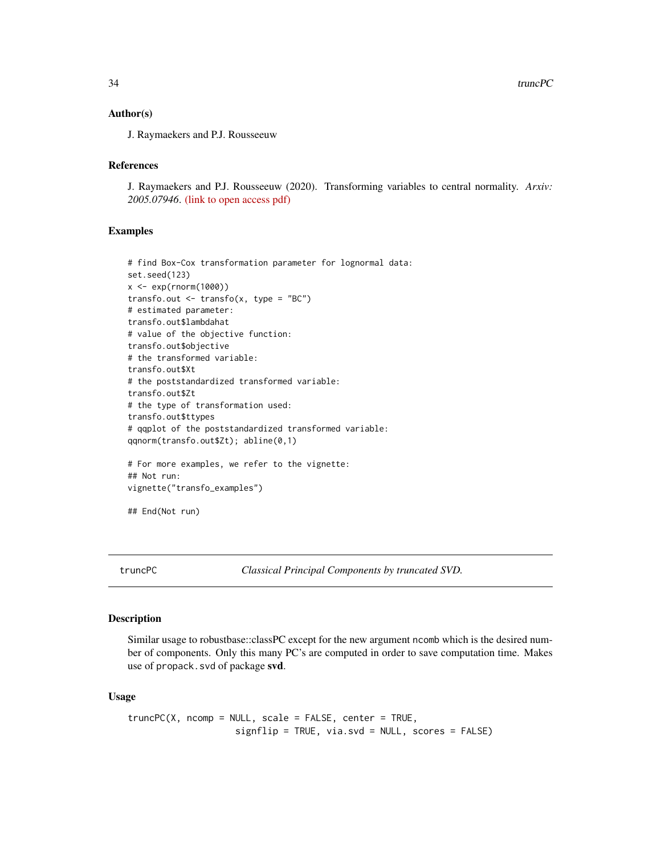#### <span id="page-33-0"></span>Author(s)

J. Raymaekers and P.J. Rousseeuw

# References

J. Raymaekers and P.J. Rousseeuw (2020). Transforming variables to central normality. *Arxiv: 2005.07946*. [\(link to open access pdf\)](https://arxiv.org/abs/2005.07946)

#### Examples

```
# find Box-Cox transformation parameter for lognormal data:
set.seed(123)
x <- exp(rnorm(1000))
transfo.out \leq transfo(x, type = "BC")
# estimated parameter:
transfo.out$lambdahat
# value of the objective function:
transfo.out$objective
# the transformed variable:
transfo.out$Xt
# the poststandardized transformed variable:
transfo.out$Zt
# the type of transformation used:
transfo.out$ttypes
# qqplot of the poststandardized transformed variable:
qqnorm(transfo.out$Zt); abline(0,1)
# For more examples, we refer to the vignette:
## Not run:
vignette("transfo_examples")
## End(Not run)
```
truncPC *Classical Principal Components by truncated SVD.*

# Description

Similar usage to robustbase::classPC except for the new argument ncomb which is the desired number of components. Only this many PC's are computed in order to save computation time. Makes use of propack.svd of package svd.

#### Usage

```
truncPC(X, ncomp = NULL, scale = FALSE, center = TRUE,signflip = TRUE, via.svd = NULL, scores = FALSE)
```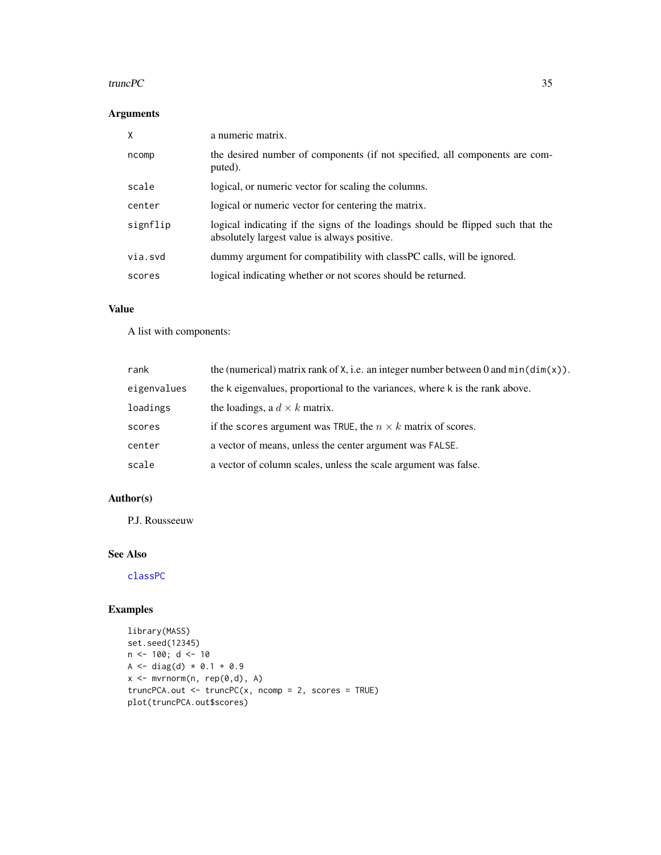#### <span id="page-34-0"></span>truncPC 35

# Arguments

| X        | a numeric matrix.                                                                                                               |
|----------|---------------------------------------------------------------------------------------------------------------------------------|
| ncomp    | the desired number of components (if not specified, all components are com-<br>puted).                                          |
| scale    | logical, or numeric vector for scaling the columns.                                                                             |
| center   | logical or numeric vector for centering the matrix.                                                                             |
| signflip | logical indicating if the signs of the loadings should be flipped such that the<br>absolutely largest value is always positive. |
| via.svd  | dummy argument for compatibility with classPC calls, will be ignored.                                                           |
| scores   | logical indicating whether or not scores should be returned.                                                                    |

# Value

A list with components:

| rank        | the (numerical) matrix rank of X, i.e. an integer number between 0 and $min(dim(x))$ . |
|-------------|----------------------------------------------------------------------------------------|
| eigenvalues | the k eigenvalues, proportional to the variances, where k is the rank above.           |
| loadings    | the loadings, a $d \times k$ matrix.                                                   |
| scores      | if the scores argument was TRUE, the $n \times k$ matrix of scores.                    |
| center      | a vector of means, unless the center argument was FALSE.                               |
| scale       | a vector of column scales, unless the scale argument was false.                        |

# Author(s)

P.J. Rousseeuw

# See Also

[classPC](#page-0-0)

# Examples

```
library(MASS)
set.seed(12345)
n < -100; d < -10A <- diag(d) * 0.1 + 0.9x <- mvrnorm(n, rep(0,d), A)
truncPCA.out <- truncPC(x, ncomp = 2, scores = TRUE)
plot(truncPCA.out$scores)
```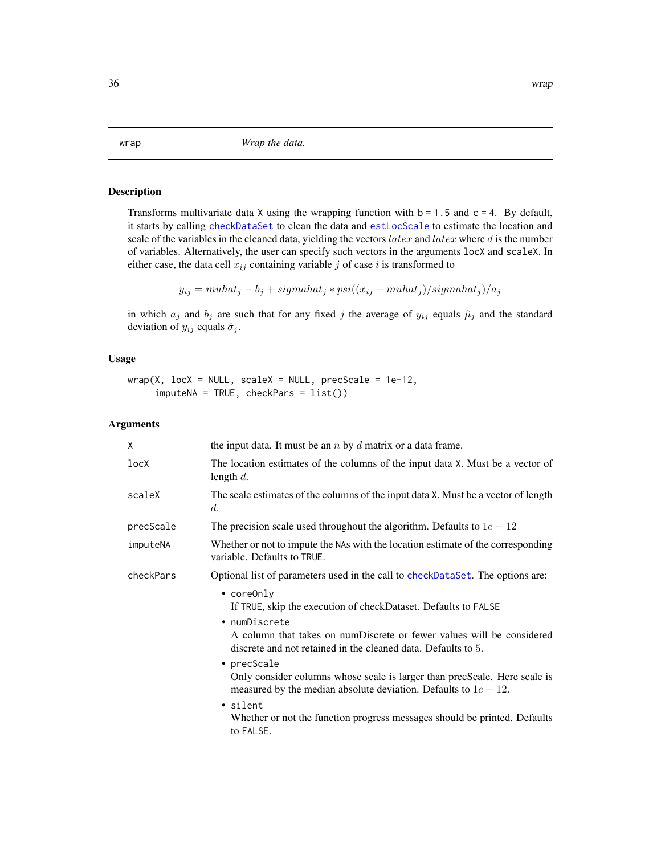Transforms multivariate data X using the wrapping function with  $b = 1.5$  and  $c = 4$ . By default, it starts by calling [checkDataSet](#page-5-1) to clean the data and [estLocScale](#page-19-1) to estimate the location and scale of the variables in the cleaned data, yielding the vectors  $\textit{latex}$  and  $\textit{latex}$  where d is the number of variables. Alternatively, the user can specify such vectors in the arguments locX and scaleX. In either case, the data cell  $x_{ij}$  containing variable j of case i is transformed to

$$
y_{ij} = muhat_j - b_j + signahat_j * psi((x_{ij} - muhat_j)/sigmahat_j)/a_j
$$

in which  $a_j$  and  $b_j$  are such that for any fixed j the average of  $y_{ij}$  equals  $\hat{\mu}_j$  and the standard deviation of  $y_{ij}$  equals  $\hat{\sigma}_j$ .

#### Usage

 $wrap(X, lock = NULL, scaleX = NULL, precise = 1e-12,$  $imputeNA = TRUE, checkParts = list()$ 

| the input data. It must be an $n$ by $d$ matrix or a data frame.                                                                                                                                                                                                                                                                                                                                                                                                                                                          |
|---------------------------------------------------------------------------------------------------------------------------------------------------------------------------------------------------------------------------------------------------------------------------------------------------------------------------------------------------------------------------------------------------------------------------------------------------------------------------------------------------------------------------|
| The location estimates of the columns of the input data X. Must be a vector of<br>length $d$ .                                                                                                                                                                                                                                                                                                                                                                                                                            |
| The scale estimates of the columns of the input data X. Must be a vector of length<br>$d_{\cdot}$                                                                                                                                                                                                                                                                                                                                                                                                                         |
| The precision scale used throughout the algorithm. Defaults to $1e - 12$                                                                                                                                                                                                                                                                                                                                                                                                                                                  |
| Whether or not to impute the NAs with the location estimate of the corresponding<br>variable. Defaults to TRUE.                                                                                                                                                                                                                                                                                                                                                                                                           |
| Optional list of parameters used in the call to checkDataSet. The options are:                                                                                                                                                                                                                                                                                                                                                                                                                                            |
| $\bullet$ coreOnly<br>If TRUE, skip the execution of checkDataset. Defaults to FALSE<br>• numDiscrete<br>A column that takes on numDiscrete or fewer values will be considered<br>discrete and not retained in the cleaned data. Defaults to 5.<br>• $precScale$<br>Only consider columns whose scale is larger than precScale. Here scale is<br>measured by the median absolute deviation. Defaults to $1e - 12$ .<br>• silent<br>Whether or not the function progress messages should be printed. Defaults<br>to FALSE. |
|                                                                                                                                                                                                                                                                                                                                                                                                                                                                                                                           |

<span id="page-35-1"></span><span id="page-35-0"></span>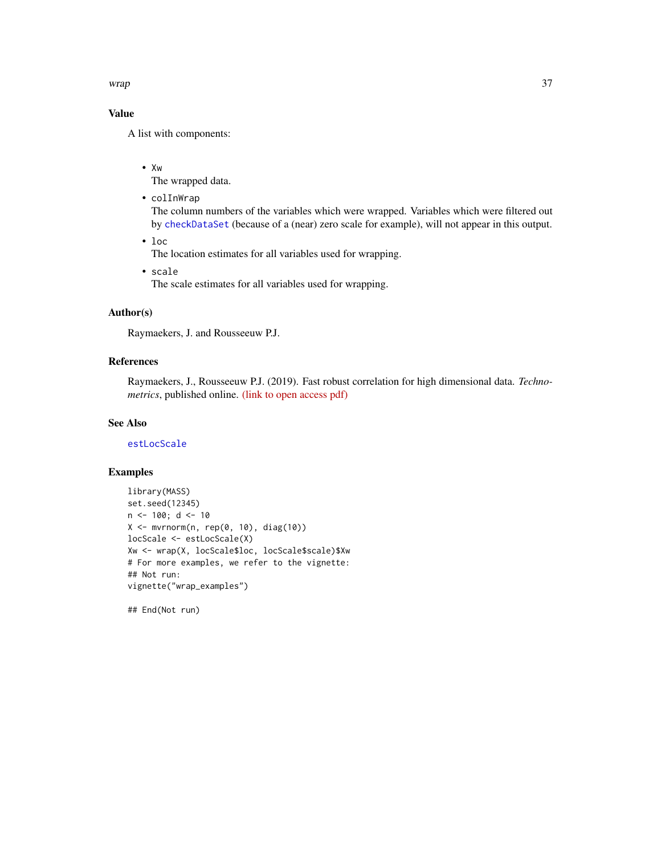<span id="page-36-0"></span>wrap 37

# Value

A list with components:

• Xw

The wrapped data.

• colInWrap

The column numbers of the variables which were wrapped. Variables which were filtered out by [checkDataSet](#page-5-1) (because of a (near) zero scale for example), will not appear in this output.

• loc

The location estimates for all variables used for wrapping.

• scale

The scale estimates for all variables used for wrapping.

# Author(s)

Raymaekers, J. and Rousseeuw P.J.

# References

Raymaekers, J., Rousseeuw P.J. (2019). Fast robust correlation for high dimensional data. *Technometrics*, published online. [\(link to open access pdf\)](https://www.tandfonline.com/doi/full/10.1080/00401706.2019.1677270)

# See Also

[estLocScale](#page-19-1)

#### Examples

```
library(MASS)
set.seed(12345)
n < -100; d < -10X \leftarrow mvrnorm(n, rep(0, 10), diag(10))locScale <- estLocScale(X)
Xw <- wrap(X, locScale$loc, locScale$scale)$Xw
# For more examples, we refer to the vignette:
## Not run:
vignette("wrap_examples")
```
## End(Not run)